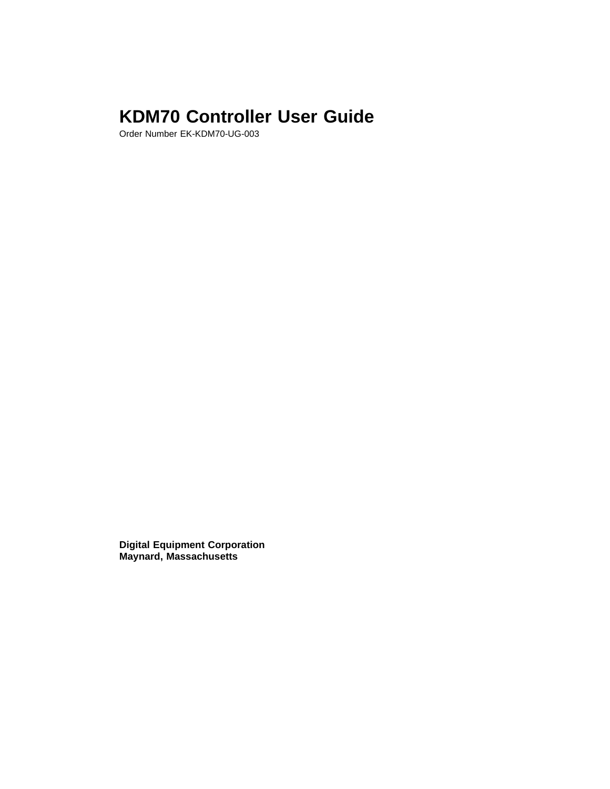# **KDM70 Controller User Guide**

Order Number EK-KDM70-UG-003

**Digital Equipment Corporation Maynard, Massachusetts**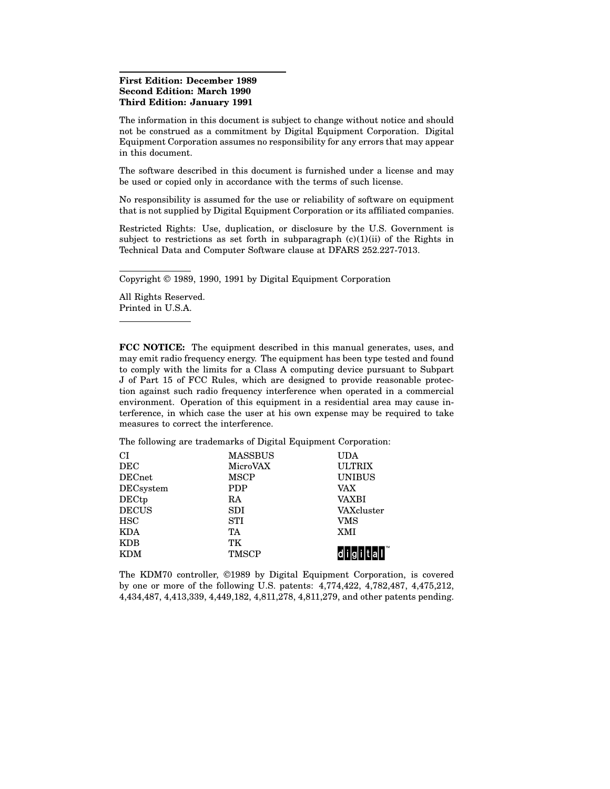#### **First Edition: December 1989 Second Edition: March 1990 Third Edition: January 1991**

The information in this document is subject to change without notice and should not be construed as a commitment by Digital Equipment Corporation. Digital Equipment Corporation assumes no responsibility for any errors that may appear in this document.

The software described in this document is furnished under a license and may be used or copied only in accordance with the terms of such license.

No responsibility is assumed for the use or reliability of software on equipment that is not supplied by Digital Equipment Corporation or its affiliated companies.

Restricted Rights: Use, duplication, or disclosure by the U.S. Government is subject to restrictions as set forth in subparagraph  $(c)(1)(ii)$  of the Rights in Technical Data and Computer Software clause at DFARS 252.227-7013.

Copyright © 1989, 1990, 1991 by Digital Equipment Corporation

All Rights Reserved. Printed in U.S.A.

**FCC NOTICE:** The equipment described in this manual generates, uses, and may emit radio frequency energy. The equipment has been type tested and found to comply with the limits for a Class A computing device pursuant to Subpart J of Part 15 of FCC Rules, which are designed to provide reasonable protection against such radio frequency interference when operated in a commercial environment. Operation of this equipment in a residential area may cause interference, in which case the user at his own expense may be required to take measures to correct the interference.

The following are trademarks of Digital Equipment Corporation:

| СI            | <b>MASSBUS</b> | UDA           |
|---------------|----------------|---------------|
| DEC           | MicroVAX       | <b>ULTRIX</b> |
| <b>DECnet</b> | <b>MSCP</b>    | <b>UNIBUS</b> |
| DECsystem     | PDP            | VAX           |
| DECtp         | RA             | VAXBI         |
| <b>DECUS</b>  | <b>SDI</b>     | VAXcluster    |
| <b>HSC</b>    | <b>STI</b>     | VMS           |
| <b>KDA</b>    | TA             | <b>XMI</b>    |
| KDB           | TК             |               |
| <b>KDM</b>    | <b>TMSCP</b>   |               |
|               |                |               |

The KDM70 controller, ©1989 by Digital Equipment Corporation, is covered by one or more of the following U.S. patents: 4,774,422, 4,782,487, 4,475,212, 4,434,487, 4,413,339, 4,449,182, 4,811,278, 4,811,279, and other patents pending.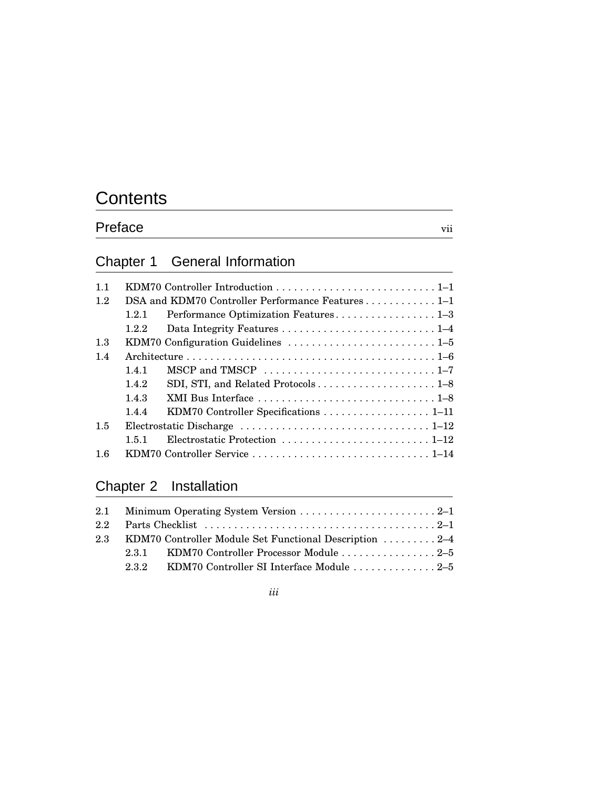# **Contents**

# Preface vii

# Chapter 1 General Information

| 11  |                                                   |                                       |  |
|-----|---------------------------------------------------|---------------------------------------|--|
| 1.2 | DSA and KDM70 Controller Performance Features 1-1 |                                       |  |
|     | 1.2.1                                             | Performance Optimization Features1-3  |  |
|     | 1.2.2                                             |                                       |  |
| 1.3 |                                                   |                                       |  |
| 1.4 |                                                   |                                       |  |
|     | 1.4.1                                             | MSCP and TMSCP 1-7                    |  |
|     | 1.4.2                                             | SDI, STI, and Related Protocols1-8    |  |
|     | 1.4.3                                             |                                       |  |
|     | 1.4.4                                             | KDM70 Controller Specifications  1-11 |  |
| 1.5 |                                                   |                                       |  |
|     | 151                                               |                                       |  |
| 1.6 |                                                   |                                       |  |

# Chapter 2 Installation

|     | 2.3 KDM70 Controller Module Set Functional Description  2–4 |
|-----|-------------------------------------------------------------|
|     | 2.3.1 KDM70 Controller Processor Module 2–5                 |
| 232 |                                                             |

*iii*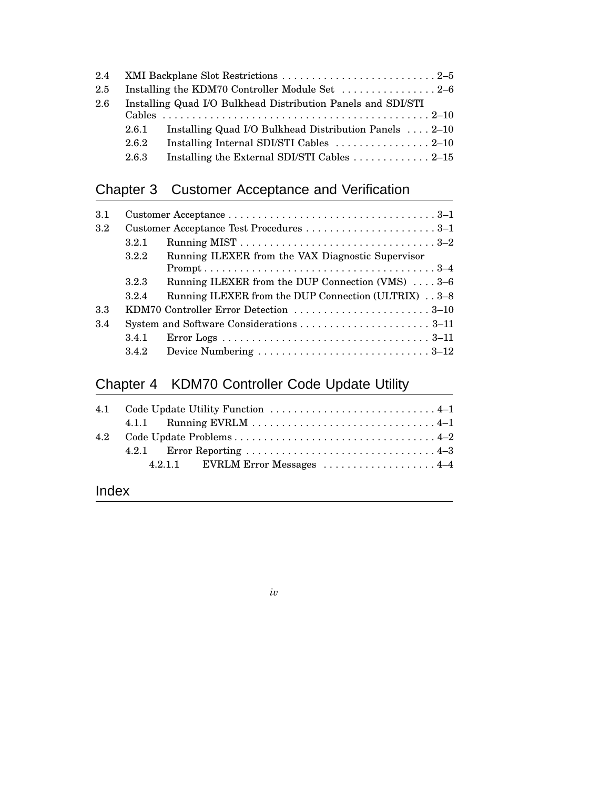| 2.4 |       |                                                                              |  |  |
|-----|-------|------------------------------------------------------------------------------|--|--|
| 2.5 |       | Installing the KDM70 Controller Module Set  2-6                              |  |  |
| 2.6 |       | Installing Quad I/O Bulkhead Distribution Panels and SDI/STI                 |  |  |
|     |       |                                                                              |  |  |
|     | 2.6.1 | Installing Quad I/O Bulkhead Distribution Panels  2-10                       |  |  |
|     | 2.6.2 | Installing Internal SDI/STI Cables $\ldots \ldots \ldots \ldots \ldots 2-10$ |  |  |
|     | 2.6.3 | Installing the External SDI/STI Cables 2–15                                  |  |  |
|     |       |                                                                              |  |  |

# Chapter 3 Customer Acceptance and Verification

| 3.1 |       |                                                                                                         |  |
|-----|-------|---------------------------------------------------------------------------------------------------------|--|
| 3.2 |       |                                                                                                         |  |
|     | 3.2.1 | Running MIST $\dots \dots \dots \dots \dots \dots \dots \dots \dots \dots \dots \dots 3-2$              |  |
|     | 3.2.2 | Running ILEXER from the VAX Diagnostic Supervisor                                                       |  |
|     |       | $Prompt \ldots \ldots \ldots \ldots \ldots \ldots \ldots \ldots \ldots \ldots \ldots \ldots \ldots 3-4$ |  |
|     | 3.2.3 | Running ILEXER from the DUP Connection (VMS) $\ldots$ 3–6                                               |  |
|     | 3.2.4 | Running ILEXER from the DUP Connection (ULTRIX) 3–8                                                     |  |
| 3.3 |       | KDM70 Controller Error Detection 3–10                                                                   |  |
| 3.4 |       |                                                                                                         |  |
|     | 3.4.1 |                                                                                                         |  |
|     | 3.4.2 | Device Numbering $\ldots \ldots \ldots \ldots \ldots \ldots \ldots \ldots \ldots 3-12$                  |  |

# Chapter 4 KDM70 Controller Code Update Utility

| 4.2.1.1 EVRLM Error Messages  4–4 |
|-----------------------------------|
|                                   |

# Index

*iv*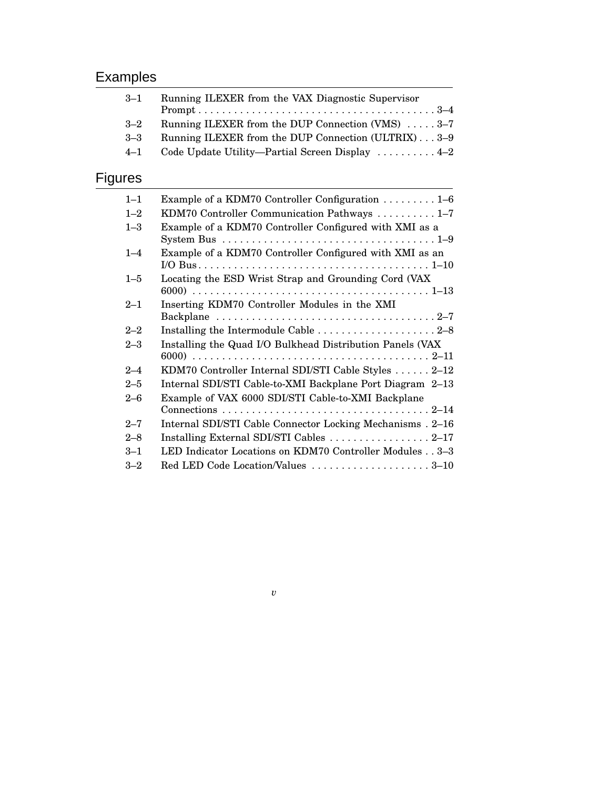# Examples

| $3 - 1$        | Running ILEXER from the VAX Diagnostic Supervisor                                                                                                              |  |  |
|----------------|----------------------------------------------------------------------------------------------------------------------------------------------------------------|--|--|
| $3 - 2$        | Running ILEXER from the DUP Connection (VMS) 3-7                                                                                                               |  |  |
| $3 - 3$        | Running ILEXER from the DUP Connection (ULTRIX)3-9                                                                                                             |  |  |
| $4 - 1$        | Code Update Utility-Partial Screen Display  4-2                                                                                                                |  |  |
| <b>Figures</b> |                                                                                                                                                                |  |  |
| $1 - 1$        | Example of a KDM70 Controller Configuration 1–6                                                                                                                |  |  |
| $1 - 2$        | KDM70 Controller Communication Pathways  1-7                                                                                                                   |  |  |
| $1 - 3$        | Example of a KDM70 Controller Configured with XMI as a<br>System Bus $\dots \dots \dots \dots \dots \dots \dots \dots \dots \dots \dots \dots \dots \dots 1-9$ |  |  |
| $1 - 4$        | Example of a KDM70 Controller Configured with XMI as an                                                                                                        |  |  |
| $1 - 5$        | Locating the ESD Wrist Strap and Grounding Cord (VAX                                                                                                           |  |  |
| $2 - 1$        | Inserting KDM70 Controller Modules in the XMI                                                                                                                  |  |  |
| $2 - 2$        | Installing the Intermodule Cable 2-8                                                                                                                           |  |  |
| $2 - 3$        | Installing the Quad I/O Bulkhead Distribution Panels (VAX                                                                                                      |  |  |
| $2 - 4$        | KDM70 Controller Internal SDI/STI Cable Styles  2-12                                                                                                           |  |  |
| $2 - 5$        | Internal SDI/STI Cable-to-XMI Backplane Port Diagram 2-13                                                                                                      |  |  |
| $2 - 6$        | Example of VAX 6000 SDI/STI Cable-to-XMI Backplane                                                                                                             |  |  |
| $2 - 7$        | Internal SDI/STI Cable Connector Locking Mechanisms . 2-16                                                                                                     |  |  |
| $2 - 8$        | Installing External SDI/STI Cables  2-17                                                                                                                       |  |  |
| $3 - 1$        | LED Indicator Locations on KDM70 Controller Modules 3-3                                                                                                        |  |  |
| $3 - 2$        | Red LED Code Location/Values 3-10                                                                                                                              |  |  |

*v*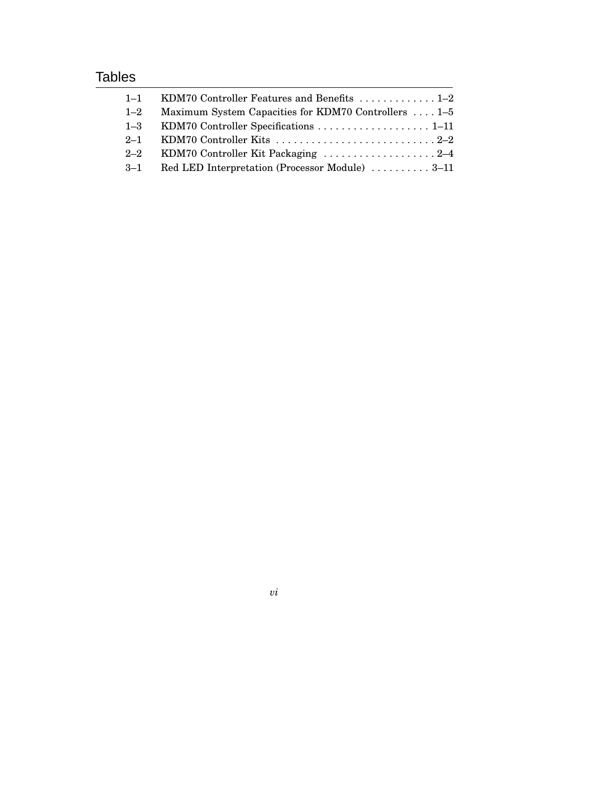# Tables

| $1 - 1$ | KDM70 Controller Features and Benefits  1-2          |
|---------|------------------------------------------------------|
| $1 - 2$ | Maximum System Capacities for KDM70 Controllers  1-5 |
| $1 - 3$ |                                                      |
| $2 - 1$ |                                                      |
| $2 - 2$ | KDM70 Controller Kit Packaging 2-4                   |
| $3 - 1$ | Red LED Interpretation (Processor Module)  3–11      |
|         |                                                      |

*vi*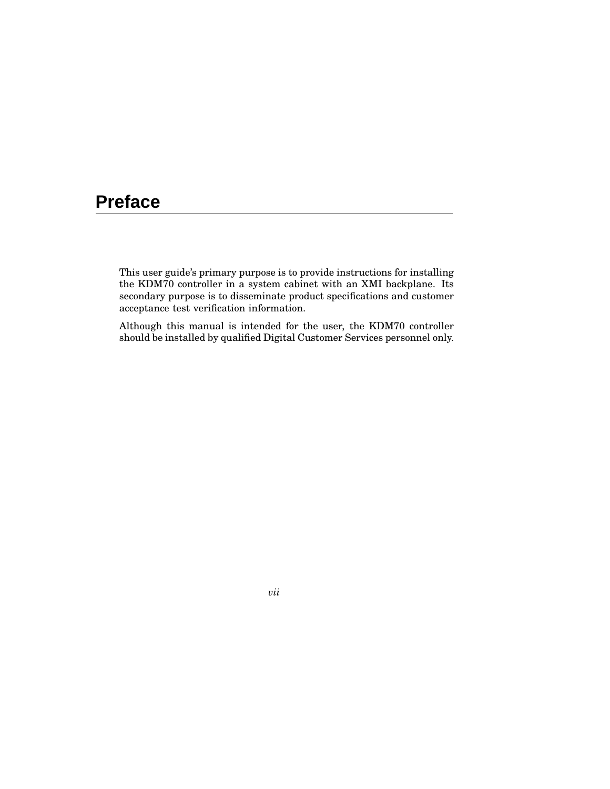# **Preface**

This user guide's primary purpose is to provide instructions for installing the KDM70 controller in a system cabinet with an XMI backplane. Its secondary purpose is to disseminate product specifications and customer acceptance test verification information.

Although this manual is intended for the user, the KDM70 controller should be installed by qualified Digital Customer Services personnel only.

*vii*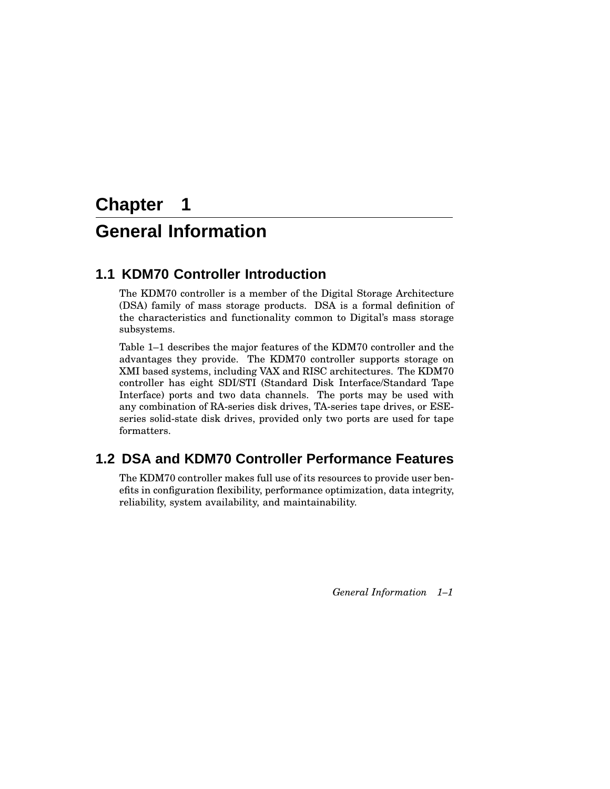# **Chapter 1**

# **General Information**

# **1.1 KDM70 Controller Introduction**

The KDM70 controller is a member of the Digital Storage Architecture (DSA) family of mass storage products. DSA is a formal definition of the characteristics and functionality common to Digital's mass storage subsystems.

Table 1–1 describes the major features of the KDM70 controller and the advantages they provide. The KDM70 controller supports storage on XMI based systems, including VAX and RISC architectures. The KDM70 controller has eight SDI/STI (Standard Disk Interface/Standard Tape Interface) ports and two data channels. The ports may be used with any combination of RA-series disk drives, TA-series tape drives, or ESEseries solid-state disk drives, provided only two ports are used for tape formatters.

# **1.2 DSA and KDM70 Controller Performance Features**

The KDM70 controller makes full use of its resources to provide user benefits in configuration flexibility, performance optimization, data integrity, reliability, system availability, and maintainability.

*General Information 1–1*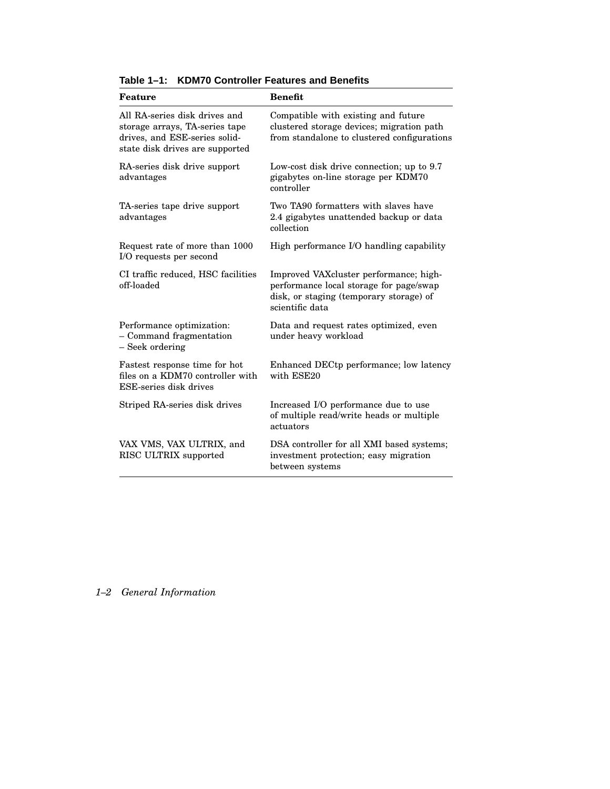| Feature                                                                                                                             | <b>Benefit</b>                                                                                                                                  |
|-------------------------------------------------------------------------------------------------------------------------------------|-------------------------------------------------------------------------------------------------------------------------------------------------|
| All RA-series disk drives and<br>storage arrays, TA-series tape<br>drives, and ESE-series solid-<br>state disk drives are supported | Compatible with existing and future<br>clustered storage devices; migration path<br>from standalone to clustered configurations                 |
| RA-series disk drive support<br>advantages                                                                                          | Low-cost disk drive connection; up to 9.7<br>gigabytes on-line storage per KDM70<br>controller                                                  |
| TA-series tape drive support<br>advantages                                                                                          | Two TA90 formatters with slaves have<br>2.4 gigabytes unattended backup or data<br>collection                                                   |
| Request rate of more than 1000<br>I/O requests per second                                                                           | High performance I/O handling capability                                                                                                        |
| CI traffic reduced, HSC facilities<br>off-loaded                                                                                    | Improved VAXcluster performance; high-<br>performance local storage for page/swap<br>disk, or staging (temporary storage) of<br>scientific data |
| Performance optimization:<br>- Command fragmentation<br>- Seek ordering                                                             | Data and request rates optimized, even<br>under heavy workload                                                                                  |
| Fastest response time for hot<br>files on a KDM70 controller with<br>ESE-series disk drives                                         | Enhanced DECtp performance; low latency<br>with ESE20                                                                                           |
| Striped RA-series disk drives                                                                                                       | Increased I/O performance due to use<br>of multiple read/write heads or multiple<br>actuators                                                   |
| VAX VMS, VAX ULTRIX, and<br>RISC ULTRIX supported                                                                                   | DSA controller for all XMI based systems;<br>investment protection; easy migration<br>between systems                                           |

**Table 1–1: KDM70 Controller Features and Benefits**

## *1–2 General Information*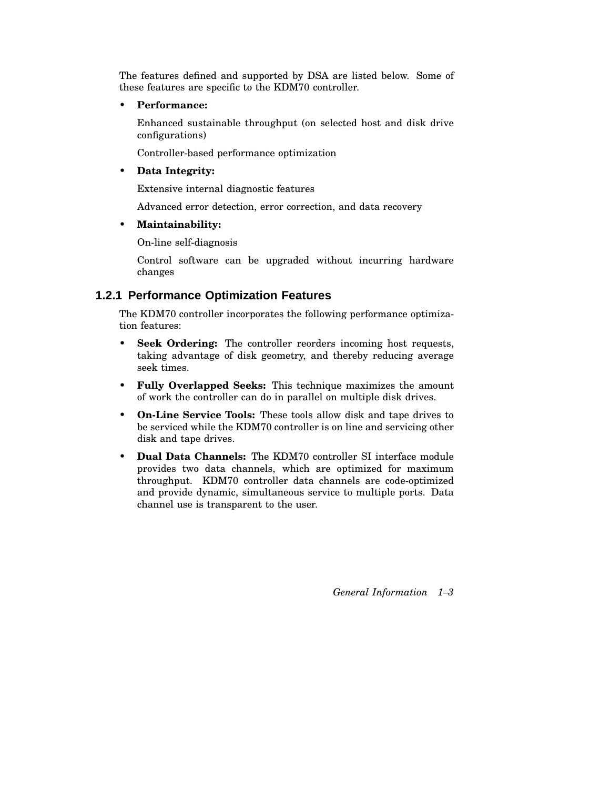The features defined and supported by DSA are listed below. Some of these features are specific to the KDM70 controller.

• **Performance:**

Enhanced sustainable throughput (on selected host and disk drive configurations)

Controller-based performance optimization

#### • **Data Integrity:**

Extensive internal diagnostic features

Advanced error detection, error correction, and data recovery

• **Maintainability:**

On-line self-diagnosis

Control software can be upgraded without incurring hardware changes

## **1.2.1 Performance Optimization Features**

The KDM70 controller incorporates the following performance optimization features:

- **Seek Ordering:** The controller reorders incoming host requests, taking advantage of disk geometry, and thereby reducing average seek times.
- **Fully Overlapped Seeks:** This technique maximizes the amount of work the controller can do in parallel on multiple disk drives.
- **On-Line Service Tools:** These tools allow disk and tape drives to be serviced while the KDM70 controller is on line and servicing other disk and tape drives.
- **Dual Data Channels:** The KDM70 controller SI interface module provides two data channels, which are optimized for maximum throughput. KDM70 controller data channels are code-optimized and provide dynamic, simultaneous service to multiple ports. Data channel use is transparent to the user.

*General Information 1–3*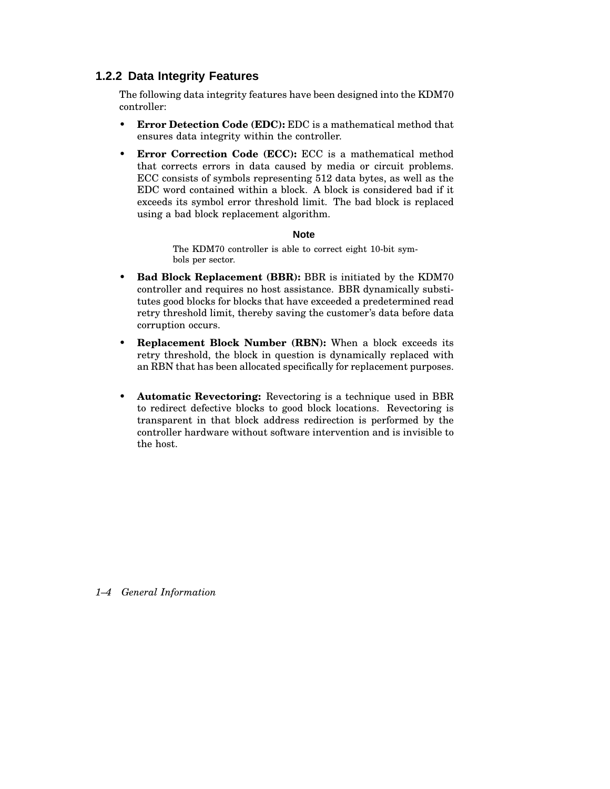## **1.2.2 Data Integrity Features**

The following data integrity features have been designed into the KDM70 controller:

- **Error Detection Code (EDC):** EDC is a mathematical method that ensures data integrity within the controller.
- **Error Correction Code (ECC):** ECC is a mathematical method that corrects errors in data caused by media or circuit problems. ECC consists of symbols representing 512 data bytes, as well as the EDC word contained within a block. A block is considered bad if it exceeds its symbol error threshold limit. The bad block is replaced using a bad block replacement algorithm.

#### **Note**

The KDM70 controller is able to correct eight 10-bit symbols per sector.

- **Bad Block Replacement (BBR):** BBR is initiated by the KDM70 controller and requires no host assistance. BBR dynamically substitutes good blocks for blocks that have exceeded a predetermined read retry threshold limit, thereby saving the customer's data before data corruption occurs.
- **Replacement Block Number (RBN):** When a block exceeds its retry threshold, the block in question is dynamically replaced with an RBN that has been allocated specifically for replacement purposes.
- **Automatic Revectoring:** Revectoring is a technique used in BBR to redirect defective blocks to good block locations. Revectoring is transparent in that block address redirection is performed by the controller hardware without software intervention and is invisible to the host.

*1–4 General Information*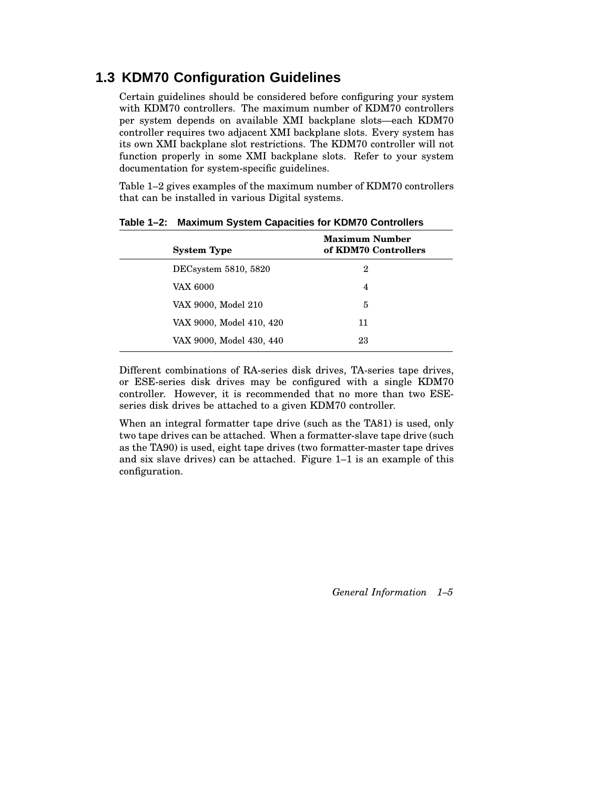# **1.3 KDM70 Configuration Guidelines**

Certain guidelines should be considered before configuring your system with KDM70 controllers. The maximum number of KDM70 controllers per system depends on available XMI backplane slots—each KDM70 controller requires two adjacent XMI backplane slots. Every system has its own XMI backplane slot restrictions. The KDM70 controller will not function properly in some XMI backplane slots. Refer to your system documentation for system-specific guidelines.

Table 1–2 gives examples of the maximum number of KDM70 controllers that can be installed in various Digital systems.

| <b>System Type</b>       | <b>Maximum Number</b><br>of KDM70 Controllers |
|--------------------------|-----------------------------------------------|
| DECsystem 5810, 5820     | 2                                             |
| <b>VAX 6000</b>          | 4                                             |
| VAX 9000, Model 210      | 5                                             |
| VAX 9000, Model 410, 420 | 11                                            |
| VAX 9000, Model 430, 440 | 23                                            |

**Table 1–2: Maximum System Capacities for KDM70 Controllers**

Different combinations of RA-series disk drives, TA-series tape drives, or ESE-series disk drives may be configured with a single KDM70 controller. However, it is recommended that no more than two ESEseries disk drives be attached to a given KDM70 controller.

When an integral formatter tape drive (such as the TA81) is used, only two tape drives can be attached. When a formatter-slave tape drive (such as the TA90) is used, eight tape drives (two formatter-master tape drives and six slave drives) can be attached. Figure 1–1 is an example of this configuration.

*General Information 1–5*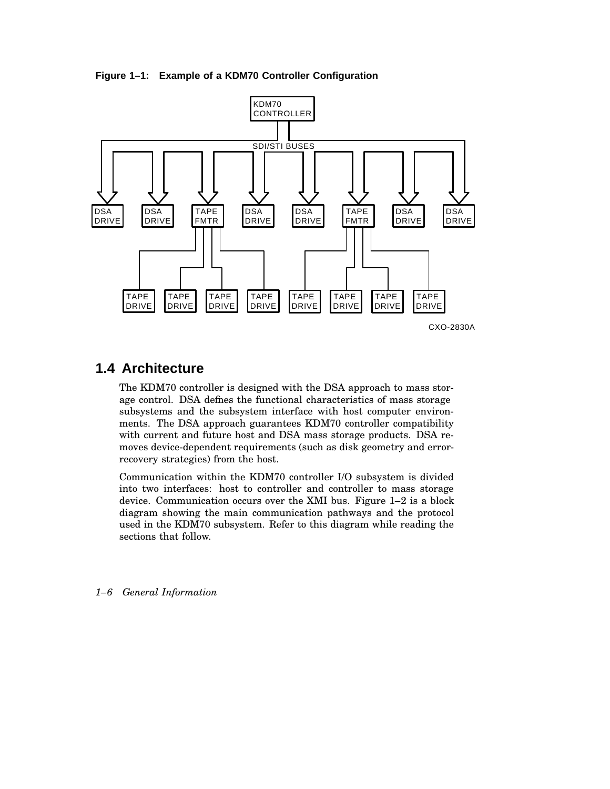**Figure 1–1: Example of a KDM70 Controller Configuration**



# **1.4 Architecture**

The KDM70 controller is designed with the DSA approach to mass storage control. DSA defines the functional characteristics of mass storage subsystems and the subsystem interface with host computer environments. The DSA approach guarantees KDM70 controller compatibility with current and future host and DSA mass storage products. DSA removes device-dependent requirements (such as disk geometry and errorrecovery strategies) from the host.

Communication within the KDM70 controller I/O subsystem is divided into two interfaces: host to controller and controller to mass storage device. Communication occurs over the XMI bus. Figure 1–2 is a block diagram showing the main communication pathways and the protocol used in the KDM70 subsystem. Refer to this diagram while reading the sections that follow.

*1–6 General Information*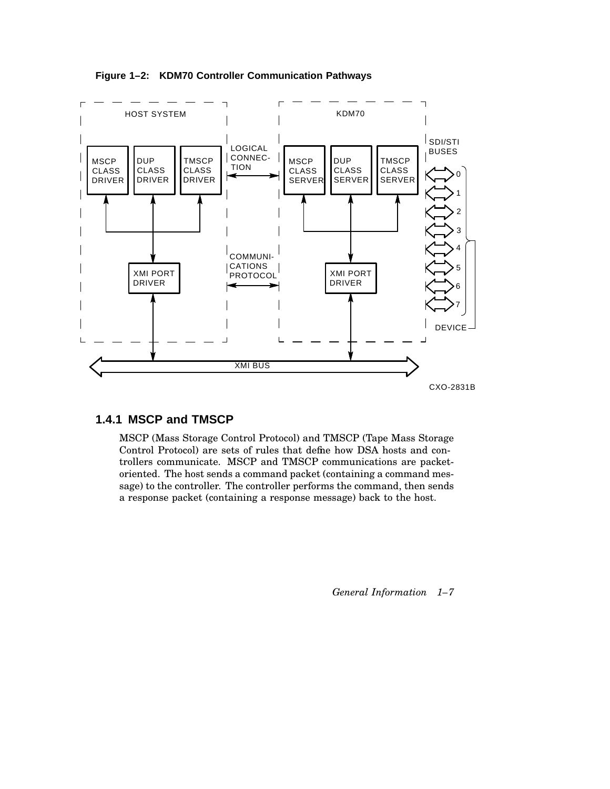



## **1.4.1 MSCP and TMSCP**

MSCP (Mass Storage Control Protocol) and TMSCP (Tape Mass Storage Control Protocol) are sets of rules that define how DSA hosts and controllers communicate. MSCP and TMSCP communications are packetoriented. The host sends a command packet (containing a command message) to the controller. The controller performs the command, then sends a response packet (containing a response message) back to the host.

*General Information 1–7*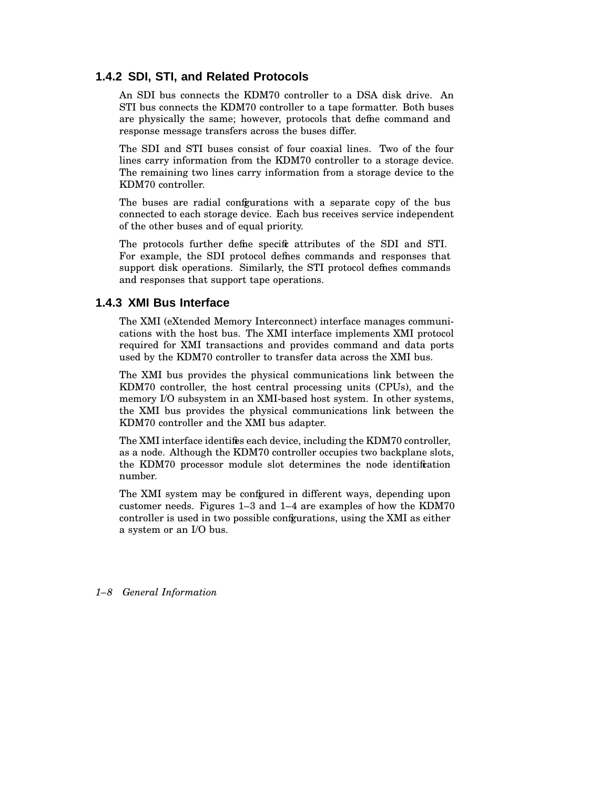### **1.4.2 SDI, STI, and Related Protocols**

An SDI bus connects the KDM70 controller to a DSA disk drive. An STI bus connects the KDM70 controller to a tape formatter. Both buses are physically the same; however, protocols that define command and response message transfers across the buses differ.

The SDI and STI buses consist of four coaxial lines. Two of the four lines carry information from the KDM70 controller to a storage device. The remaining two lines carry information from a storage device to the KDM70 controller.

The buses are radial configurations with a separate copy of the bus connected to each storage device. Each bus receives service independent of the other buses and of equal priority.

The protocols further define specific attributes of the SDI and STI. For example, the SDI protocol defines commands and responses that support disk operations. Similarly, the STI protocol defines commands and responses that support tape operations.

### **1.4.3 XMI Bus Interface**

The XMI (eXtended Memory Interconnect) interface manages communications with the host bus. The XMI interface implements XMI protocol required for XMI transactions and provides command and data ports used by the KDM70 controller to transfer data across the XMI bus.

The XMI bus provides the physical communications link between the KDM70 controller, the host central processing units (CPUs), and the memory I/O subsystem in an XMI-based host system. In other systems, the XMI bus provides the physical communications link between the KDM70 controller and the XMI bus adapter.

The XMI interface identifies each device, including the KDM70 controller, as a node. Although the KDM70 controller occupies two backplane slots, the KDM70 processor module slot determines the node identification number.

The XMI system may be configured in different ways, depending upon customer needs. Figures 1–3 and 1–4 are examples of how the KDM70 controller is used in two possible configurations, using the XMI as either a system or an I/O bus.

#### *1–8 General Information*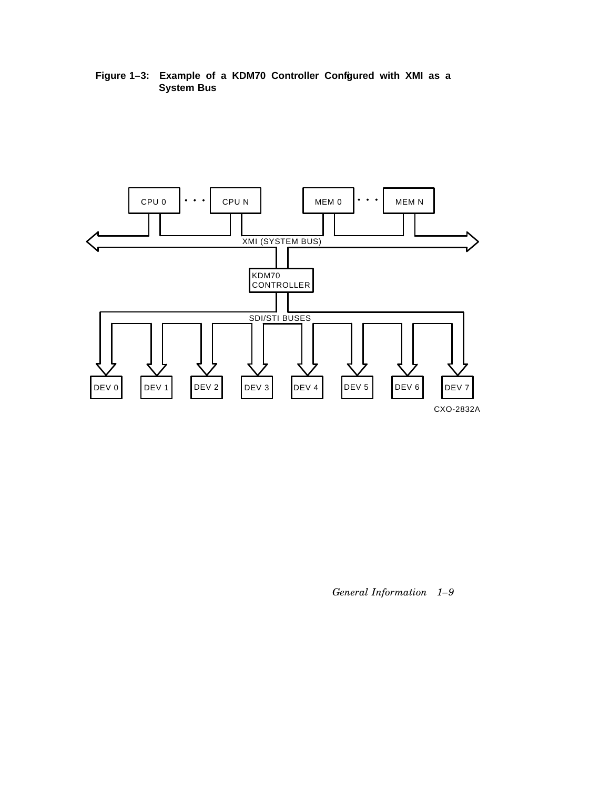**Figure 1–3: Example of a KDM70 Controller Configured with XMI as a System Bus**



*General Information 1–9*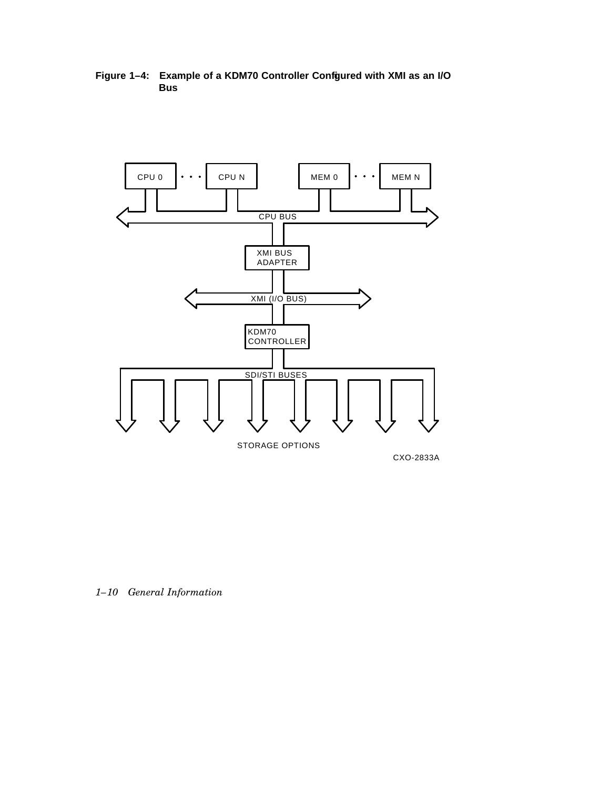**Figure 1–4: Example of a KDM70 Controller Configured with XMI as an I/O Bus**



*1–10 General Information*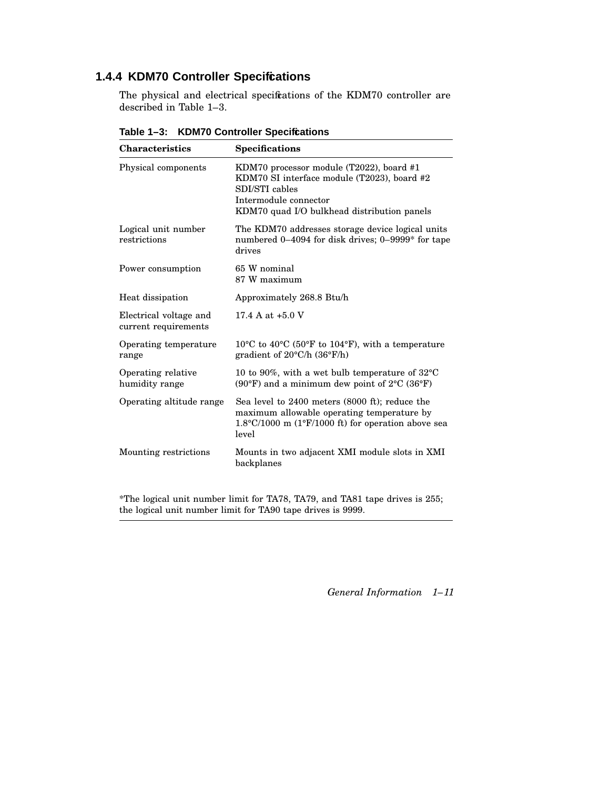## **1.4.4 KDM70 Controller Specifications**

The physical and electrical specifications of the KDM70 controller are described in Table 1–3.

| <b>Characteristics</b>                         | <b>Specifications</b>                                                                                                                                                             |
|------------------------------------------------|-----------------------------------------------------------------------------------------------------------------------------------------------------------------------------------|
| Physical components                            | KDM70 processor module (T2022), board #1<br>KDM70 SI interface module (T2023), board #2<br>SDI/STI cables<br>Intermodule connector<br>KDM70 quad I/O bulkhead distribution panels |
| Logical unit number<br>restrictions            | The KDM70 addresses storage device logical units<br>numbered 0–4094 for disk drives; 0–9999 <sup>*</sup> for tape<br>drives                                                       |
| Power consumption                              | 65 W nominal<br>87 W maximum                                                                                                                                                      |
| Heat dissipation                               | Approximately 268.8 Btu/h                                                                                                                                                         |
| Electrical voltage and<br>current requirements | 17.4 A at $+5.0$ V                                                                                                                                                                |
| Operating temperature<br>range                 | $10^{\circ}$ C to $40^{\circ}$ C (50°F to 104°F), with a temperature<br>gradient of $20^{\circ}$ C/h $(36^{\circ}$ F/h)                                                           |
| Operating relative<br>humidity range           | 10 to 90%, with a wet bulb temperature of $32^{\circ}$ C<br>(90°F) and a minimum dew point of $2^{\circ}$ C (36°F)                                                                |
| Operating altitude range                       | Sea level to 2400 meters (8000 ft); reduce the<br>maximum allowable operating temperature by<br>$1.8^{\circ}$ C/1000 m (1 $^{\circ}$ F/1000 ft) for operation above sea<br>level  |
| Mounting restrictions                          | Mounts in two adjacent XMI module slots in XMI<br>backplanes                                                                                                                      |

**Table 1–3: KDM70 Controller Specifications**

\*The logical unit number limit for TA78, TA79, and TA81 tape drives is 255; the logical unit number limit for TA90 tape drives is 9999.

*General Information 1–11*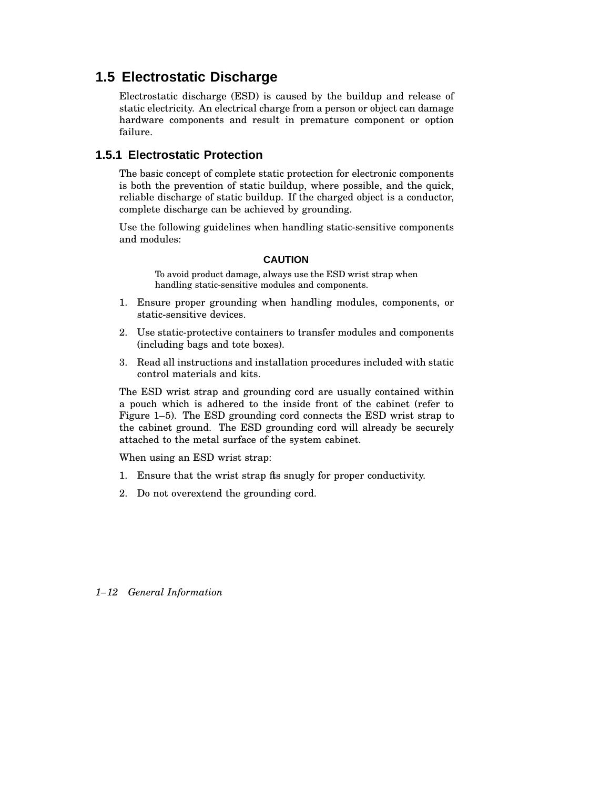# **1.5 Electrostatic Discharge**

Electrostatic discharge (ESD) is caused by the buildup and release of static electricity. An electrical charge from a person or object can damage hardware components and result in premature component or option failure.

## **1.5.1 Electrostatic Protection**

The basic concept of complete static protection for electronic components is both the prevention of static buildup, where possible, and the quick, reliable discharge of static buildup. If the charged object is a conductor, complete discharge can be achieved by grounding.

Use the following guidelines when handling static-sensitive components and modules:

#### **CAUTION**

To avoid product damage, always use the ESD wrist strap when handling static-sensitive modules and components.

- 1. Ensure proper grounding when handling modules, components, or static-sensitive devices.
- 2. Use static-protective containers to transfer modules and components (including bags and tote boxes).
- 3. Read all instructions and installation procedures included with static control materials and kits.

The ESD wrist strap and grounding cord are usually contained within a pouch which is adhered to the inside front of the cabinet (refer to Figure 1–5). The ESD grounding cord connects the ESD wrist strap to the cabinet ground. The ESD grounding cord will already be securely attached to the metal surface of the system cabinet.

When using an ESD wrist strap:

- 1. Ensure that the wrist strap fits snugly for proper conductivity.
- 2. Do not overextend the grounding cord.

### *1–12 General Information*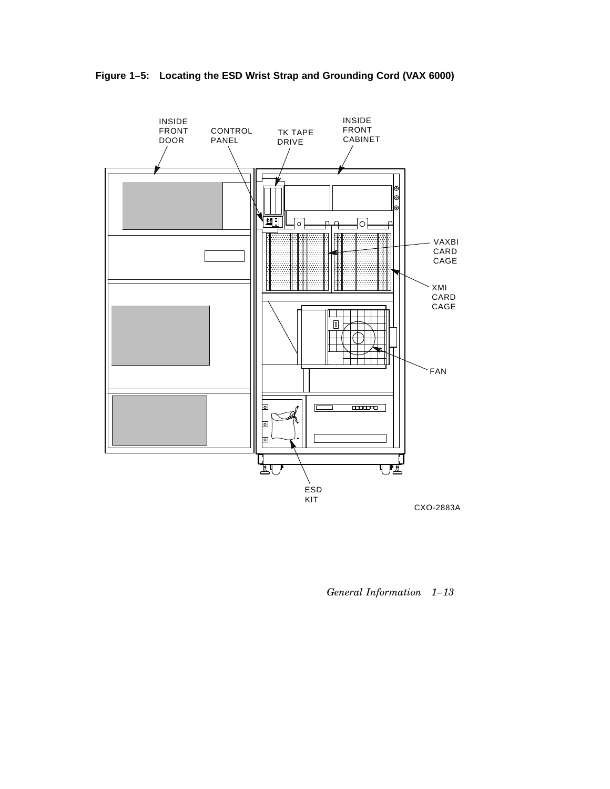

**Figure 1–5: Locating the ESD Wrist Strap and Grounding Cord (VAX 6000)**

*General Information 1–13*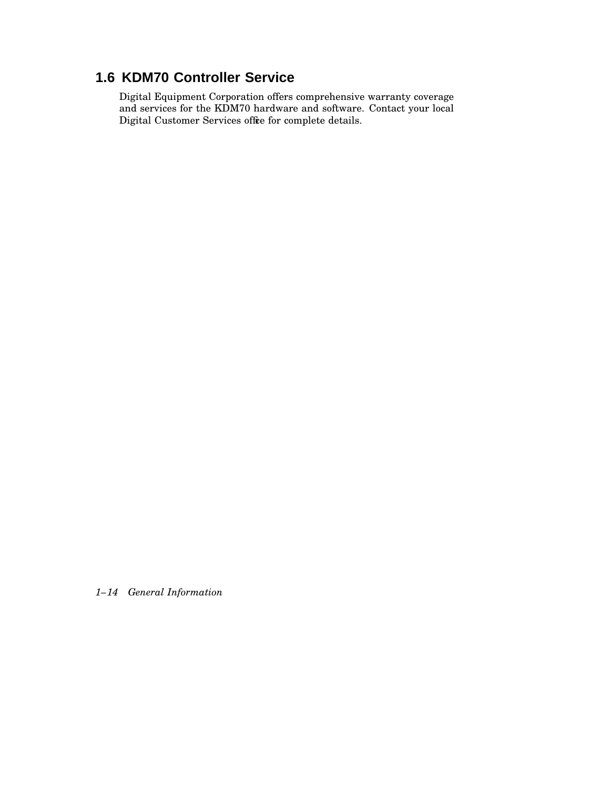# **1.6 KDM70 Controller Service**

Digital Equipment Corporation offers comprehensive warranty coverage and services for the KDM70 hardware and software. Contact your local Digital Customer Services office for complete details.

*1–14 General Information*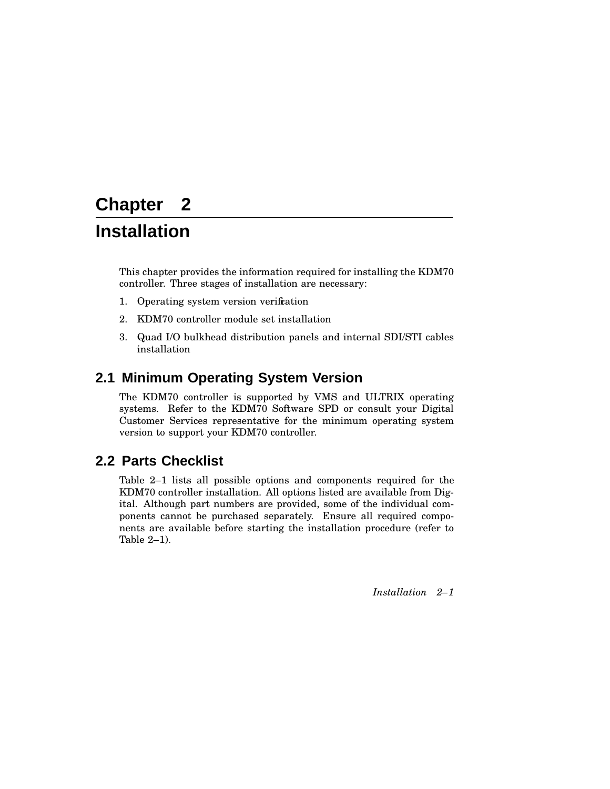# **Chapter 2**

# **Installation**

This chapter provides the information required for installing the KDM70 controller. Three stages of installation are necessary:

- 1. Operating system version verification
- 2. KDM70 controller module set installation
- 3. Quad I/O bulkhead distribution panels and internal SDI/STI cables installation

# **2.1 Minimum Operating System Version**

The KDM70 controller is supported by VMS and ULTRIX operating systems. Refer to the KDM70 Software SPD or consult your Digital Customer Services representative for the minimum operating system version to support your KDM70 controller.

# **2.2 Parts Checklist**

Table 2–1 lists all possible options and components required for the KDM70 controller installation. All options listed are available from Digital. Although part numbers are provided, some of the individual components cannot be purchased separately. Ensure all required components are available before starting the installation procedure (refer to Table 2–1).

*Installation 2–1*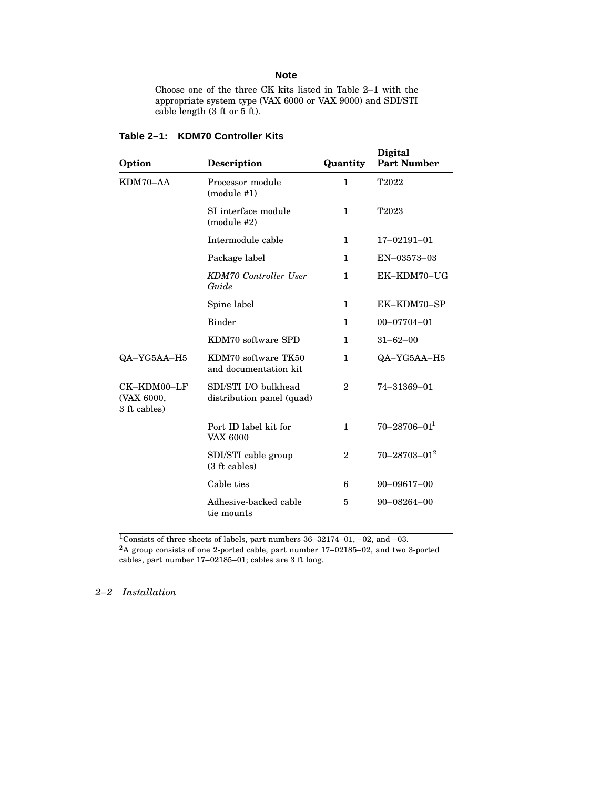#### **Note**

Choose one of the three CK kits listed in Table 2–1 with the appropriate system type (VAX 6000 or VAX 9000) and SDI/STI cable length (3 ft or 5 ft).

| Option                                    | <b>Description</b>                                | Quantity     | Digital<br><b>Part Number</b> |
|-------------------------------------------|---------------------------------------------------|--------------|-------------------------------|
| KDM70-AA                                  | Processor module<br>$(module$ #1)                 | 1            | T2022                         |
|                                           | SI interface module<br>$(module$ #2)              | $\mathbf{1}$ | T2023                         |
|                                           | Intermodule cable                                 | $\mathbf{1}$ | $17 - 02191 - 01$             |
|                                           | Package label                                     | $\mathbf{1}$ | $EN-03573-03$                 |
|                                           | <b>KDM70</b> Controller User<br>Guide             | $\mathbf{1}$ | EK-KDM70-UG                   |
|                                           | Spine label                                       | 1            | EK-KDM70-SP                   |
|                                           | <b>Binder</b>                                     | $\mathbf{1}$ | $00 - 07704 - 01$             |
|                                           | KDM70 software SPD                                | $\mathbf{1}$ | $31 - 62 - 00$                |
| QA-YG5AA-H5                               | KDM70 software TK50<br>and documentation kit      | $\mathbf{1}$ | QA-YG5AA-H5                   |
| CK-KDM00-LF<br>(VAX 6000,<br>3 ft cables) | SDI/STI I/O bulkhead<br>distribution panel (quad) | $\mathbf{2}$ | 74-31369-01                   |
|                                           | Port ID label kit for<br><b>VAX 6000</b>          | 1            | $70 - 28706 - 01$             |
|                                           | SDI/STI cable group<br>(3 ft cables)              | $\mathbf{2}$ | $70 - 28703 - 01^2$           |
|                                           | Cable ties                                        | 6            | $90 - 09617 - 00$             |
|                                           | Adhesive-backed cable<br>tie mounts               | 5            | $90 - 08264 - 00$             |

**Table 2–1: KDM70 Controller Kits**

<sup>1</sup>Consists of three sheets of labels, part numbers 36–32174–01, –02, and –03.

 $2A$  group consists of one 2-ported cable, part number 17–02185–02, and two 3-ported cables, part number 17–02185–01; cables are 3 ft long.

## *2–2 Installation*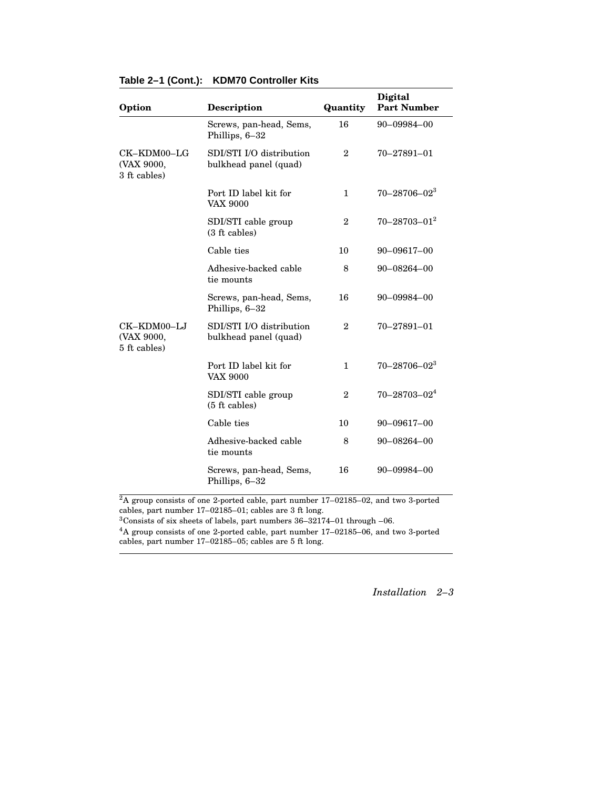| Option                                    | <b>Description</b>                                | Quantity       | Digital<br><b>Part Number</b> |
|-------------------------------------------|---------------------------------------------------|----------------|-------------------------------|
|                                           | Screws, pan-head, Sems,<br>Phillips, 6-32         | 16             | 90-09984-00                   |
| CK-KDM00-LG<br>(VAX 9000,<br>3 ft cables) | SDI/STI I/O distribution<br>bulkhead panel (quad) | $\overline{2}$ | $70 - 27891 - 01$             |
|                                           | Port ID label kit for<br><b>VAX 9000</b>          | 1              | $70 - 28706 - 023$            |
|                                           | SDI/STI cable group<br>(3 ft cables)              | $\overline{2}$ | $70 - 28703 - 01^2$           |
|                                           | Cable ties                                        | 10             | $90 - 09617 - 00$             |
|                                           | Adhesive-backed cable<br>tie mounts               | 8              | $90 - 08264 - 00$             |
|                                           | Screws, pan-head, Sems,<br>Phillips, 6-32         | 16             | 90-09984-00                   |
| CK-KDM00-LJ<br>(VAX 9000,<br>5 ft cables) | SDI/STI I/O distribution<br>bulkhead panel (quad) | $\overline{2}$ | $70 - 27891 - 01$             |
|                                           | Port ID label kit for<br><b>VAX 9000</b>          | $\mathbf{1}$   | $70 - 28706 - 02^3$           |
|                                           | SDI/STI cable group<br>$(5 \text{ ft cables})$    | $\overline{2}$ | $70 - 28703 - 02^4$           |
|                                           | Cable ties                                        | 10             | 90-09617-00                   |
|                                           | Adhesive-backed cable<br>tie mounts               | 8              | $90 - 08264 - 00$             |
|                                           | Screws, pan-head, Sems,<br>Phillips, 6-32         | 16             | 90-09984-00                   |

### **Table 2–1 (Cont.): KDM70 Controller Kits**

<sup>2</sup>A group consists of one 2-ported cable, part number 17–02185–02, and two 3-ported cables, part number 17–02185–01; cables are 3 ft long.

 $3$ Consists of six sheets of labels, part numbers  $36-32174-01$  through  $-06$ .

<sup>4</sup>A group consists of one 2-ported cable, part number 17–02185–06, and two 3-ported cables, part number 17–02185–05; cables are 5 ft long.

*Installation 2–3*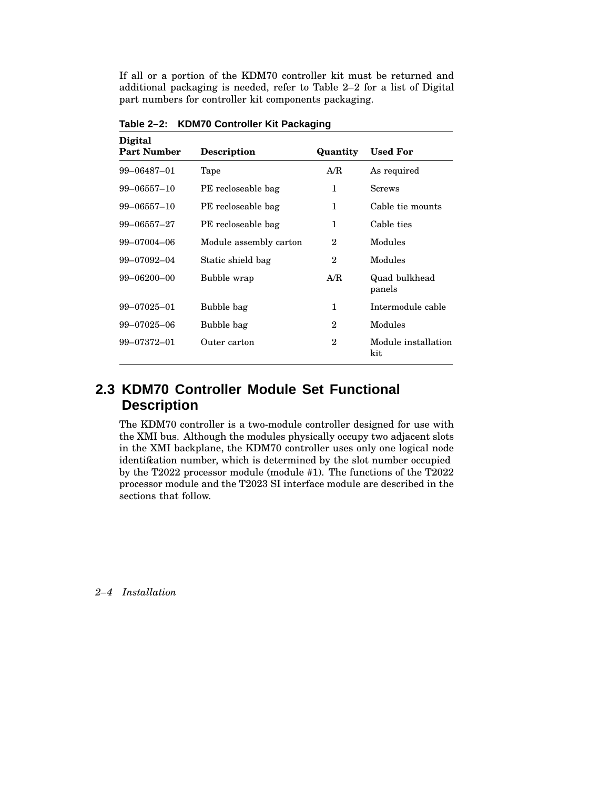If all or a portion of the KDM70 controller kit must be returned and additional packaging is needed, refer to Table 2–2 for a list of Digital part numbers for controller kit components packaging.

| <b>Digital</b><br><b>Part Number</b> | <b>Description</b>     | Quantity     | <b>Used For</b>            |
|--------------------------------------|------------------------|--------------|----------------------------|
| 99-06487-01                          | Tape                   | A/R          | As required                |
| $99 - 06557 - 10$                    | PE recloseable bag     | 1            | <b>Screws</b>              |
| $99 - 06557 - 10$                    | PE recloseable bag     | 1            | Cable tie mounts           |
| $99 - 06557 - 27$                    | PE recloseable bag     | 1            | Cable ties                 |
| 99-07004-06                          | Module assembly carton | $\mathbf 2$  | Modules                    |
| 99-07092-04                          | Static shield bag      | $\mathbf 2$  | Modules                    |
| $99 - 06200 - 00$                    | Bubble wrap            | A/R          | Quad bulkhead<br>panels    |
| $99 - 07025 - 01$                    | Bubble bag             | $\mathbf{1}$ | Intermodule cable          |
| 99-07025-06                          | Bubble bag             | 2            | Modules                    |
| 99-07372-01                          | Outer carton           | $\mathbf{2}$ | Module installation<br>kit |

**Table 2–2: KDM70 Controller Kit Packaging**

# **2.3 KDM70 Controller Module Set Functional Description**

The KDM70 controller is a two-module controller designed for use with the XMI bus. Although the modules physically occupy two adjacent slots in the XMI backplane, the KDM70 controller uses only one logical node identification number, which is determined by the slot number occupied by the T2022 processor module (module #1). The functions of the T2022 processor module and the T2023 SI interface module are described in the sections that follow.

*2–4 Installation*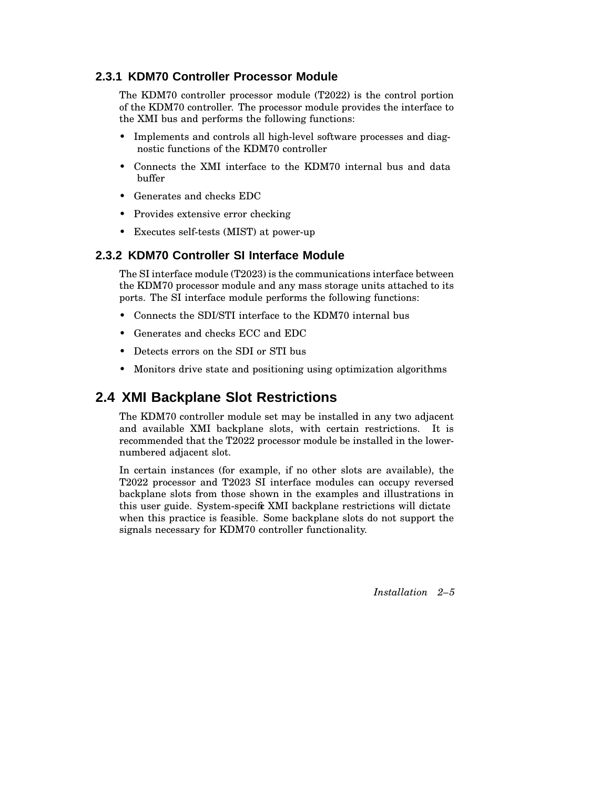## **2.3.1 KDM70 Controller Processor Module**

The KDM70 controller processor module (T2022) is the control portion of the KDM70 controller. The processor module provides the interface to the XMI bus and performs the following functions:

- Implements and controls all high-level software processes and diagnostic functions of the KDM70 controller
- Connects the XMI interface to the KDM70 internal bus and data buffer
- Generates and checks EDC
- Provides extensive error checking
- Executes self-tests (MIST) at power-up

## **2.3.2 KDM70 Controller SI Interface Module**

The SI interface module (T2023) is the communications interface between the KDM70 processor module and any mass storage units attached to its ports. The SI interface module performs the following functions:

- Connects the SDI/STI interface to the KDM70 internal bus
- Generates and checks ECC and EDC
- Detects errors on the SDI or STI bus
- Monitors drive state and positioning using optimization algorithms

# **2.4 XMI Backplane Slot Restrictions**

The KDM70 controller module set may be installed in any two adjacent and available XMI backplane slots, with certain restrictions. It is recommended that the T2022 processor module be installed in the lowernumbered adjacent slot.

In certain instances (for example, if no other slots are available), the T2022 processor and T2023 SI interface modules can occupy reversed backplane slots from those shown in the examples and illustrations in this user guide. System-specific XMI backplane restrictions will dictate when this practice is feasible. Some backplane slots do not support the signals necessary for KDM70 controller functionality.

*Installation 2–5*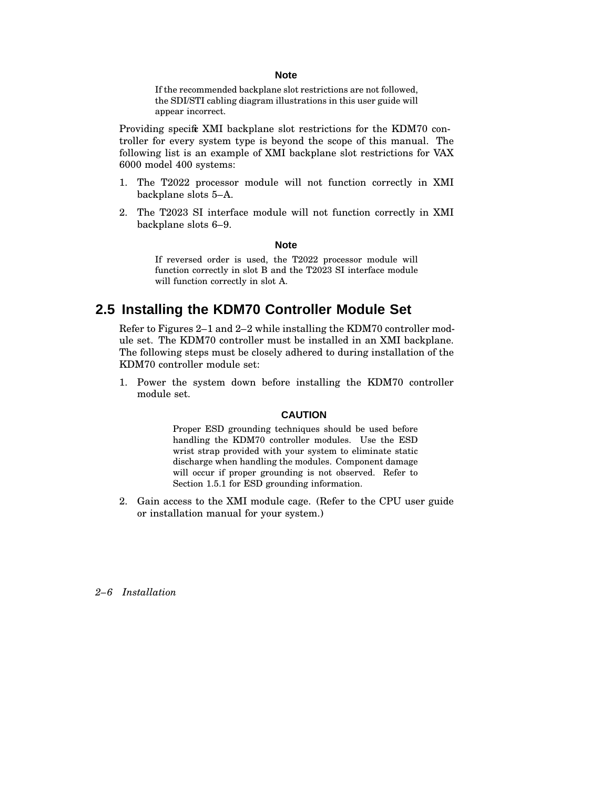#### **Note**

If the recommended backplane slot restrictions are not followed, the SDI/STI cabling diagram illustrations in this user guide will appear incorrect.

Providing specific XMI backplane slot restrictions for the KDM70 controller for every system type is beyond the scope of this manual. The following list is an example of XMI backplane slot restrictions for VAX 6000 model 400 systems:

- 1. The T2022 processor module will not function correctly in XMI backplane slots 5–A.
- 2. The T2023 SI interface module will not function correctly in XMI backplane slots 6–9.

#### **Note**

If reversed order is used, the T2022 processor module will function correctly in slot B and the T2023 SI interface module will function correctly in slot A.

# **2.5 Installing the KDM70 Controller Module Set**

Refer to Figures 2–1 and 2–2 while installing the KDM70 controller module set. The KDM70 controller must be installed in an XMI backplane. The following steps must be closely adhered to during installation of the KDM70 controller module set:

1. Power the system down before installing the KDM70 controller module set.

#### **CAUTION**

Proper ESD grounding techniques should be used before handling the KDM70 controller modules. Use the ESD wrist strap provided with your system to eliminate static discharge when handling the modules. Component damage will occur if proper grounding is not observed. Refer to Section 1.5.1 for ESD grounding information.

2. Gain access to the XMI module cage. (Refer to the CPU user guide or installation manual for your system.)

*2–6 Installation*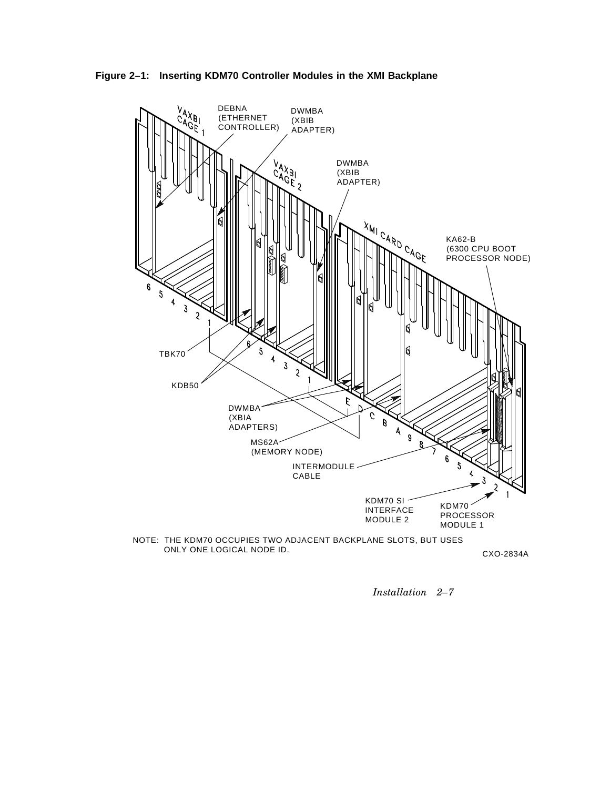





CXO-2834A

*Installation 2–7*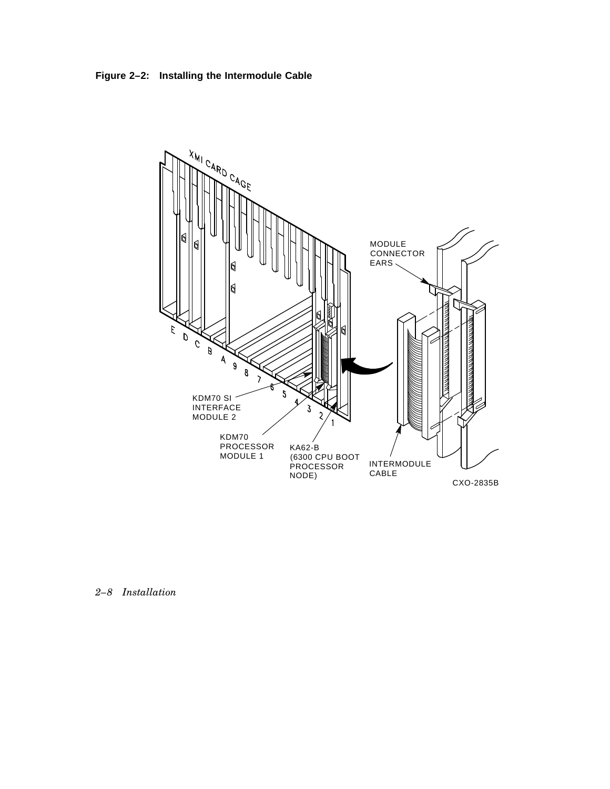**Figure 2–2: Installing the Intermodule Cable**



*2–8 Installation*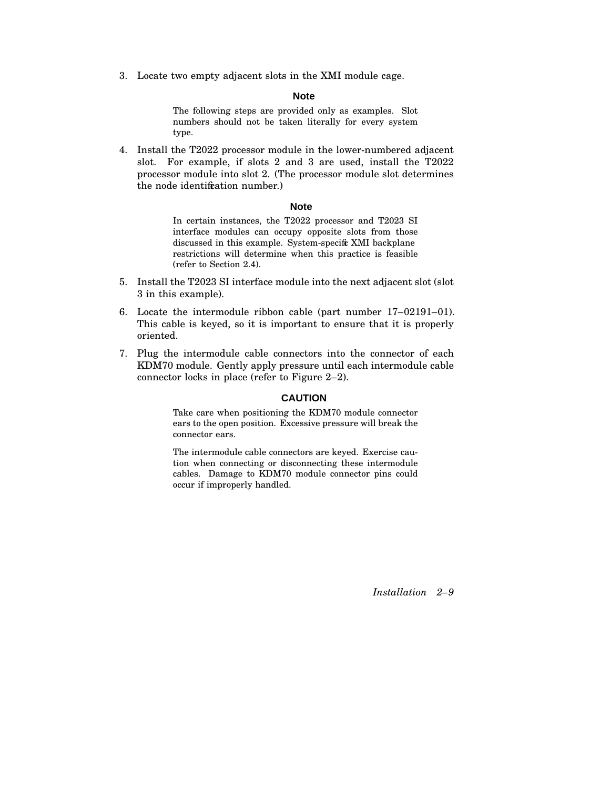3. Locate two empty adjacent slots in the XMI module cage.

#### **Note**

The following steps are provided only as examples. Slot numbers should not be taken literally for every system type.

4. Install the T2022 processor module in the lower-numbered adjacent slot. For example, if slots 2 and 3 are used, install the T2022 processor module into slot 2. (The processor module slot determines the node identification number.)

#### **Note**

In certain instances, the T2022 processor and T2023 SI interface modules can occupy opposite slots from those discussed in this example. System-specific XMI backplane restrictions will determine when this practice is feasible (refer to Section 2.4).

- 5. Install the T2023 SI interface module into the next adjacent slot (slot 3 in this example).
- 6. Locate the intermodule ribbon cable (part number 17–02191–01). This cable is keyed, so it is important to ensure that it is properly oriented.
- 7. Plug the intermodule cable connectors into the connector of each KDM70 module. Gently apply pressure until each intermodule cable connector locks in place (refer to Figure 2–2).

#### **CAUTION**

Take care when positioning the KDM70 module connector ears to the open position. Excessive pressure will break the connector ears.

The intermodule cable connectors are keyed. Exercise caution when connecting or disconnecting these intermodule cables. Damage to KDM70 module connector pins could occur if improperly handled.

*Installation 2–9*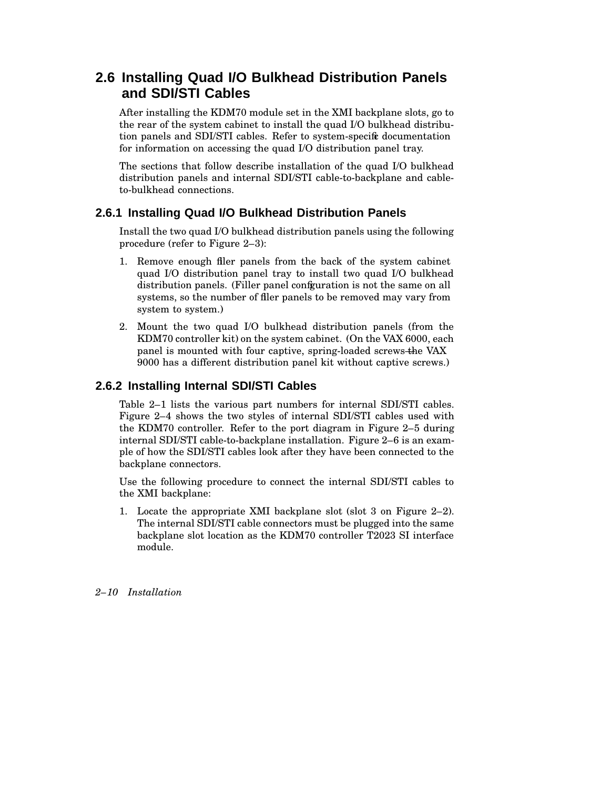# **2.6 Installing Quad I/O Bulkhead Distribution Panels and SDI/STI Cables**

After installing the KDM70 module set in the XMI backplane slots, go to the rear of the system cabinet to install the quad I/O bulkhead distribution panels and SDI/STI cables. Refer to system-specific documentation for information on accessing the quad I/O distribution panel tray.

The sections that follow describe installation of the quad I/O bulkhead distribution panels and internal SDI/STI cable-to-backplane and cableto-bulkhead connections.

## **2.6.1 Installing Quad I/O Bulkhead Distribution Panels**

Install the two quad I/O bulkhead distribution panels using the following procedure (refer to Figure 2–3):

- 1. Remove enough filler panels from the back of the system cabinet quad I/O distribution panel tray to install two quad I/O bulkhead distribution panels. (Filler panel configuration is not the same on all systems, so the number of filer panels to be removed may vary from system to system.)
- 2. Mount the two quad I/O bulkhead distribution panels (from the KDM70 controller kit) on the system cabinet. (On the VAX 6000, each panel is mounted with four captive, spring-loaded screws-the VAX 9000 has a different distribution panel kit without captive screws.)

## **2.6.2 Installing Internal SDI/STI Cables**

Table 2–1 lists the various part numbers for internal SDI/STI cables. Figure 2–4 shows the two styles of internal SDI/STI cables used with the KDM70 controller. Refer to the port diagram in Figure 2–5 during internal SDI/STI cable-to-backplane installation. Figure 2–6 is an example of how the SDI/STI cables look after they have been connected to the backplane connectors.

Use the following procedure to connect the internal SDI/STI cables to the XMI backplane:

1. Locate the appropriate XMI backplane slot (slot 3 on Figure 2–2). The internal SDI/STI cable connectors must be plugged into the same backplane slot location as the KDM70 controller T2023 SI interface module.

*2–10 Installation*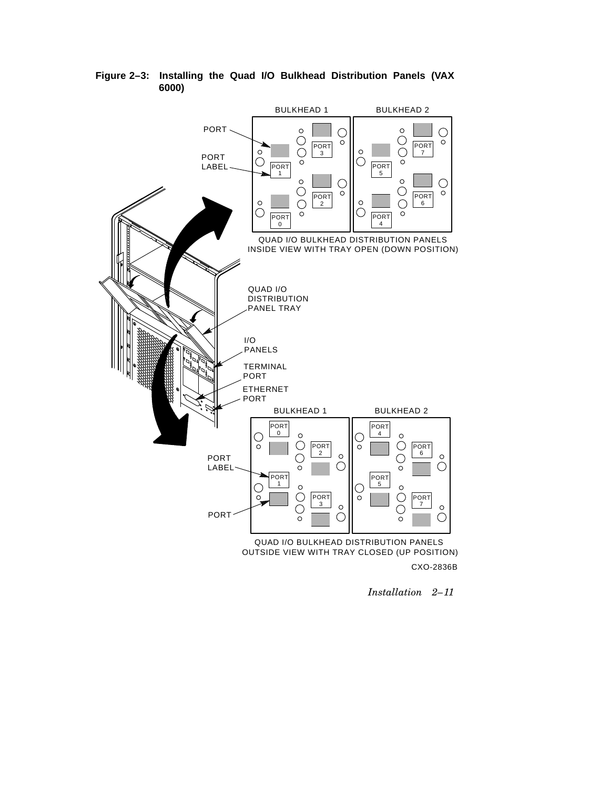

**Figure 2–3: Installing the Quad I/O Bulkhead Distribution Panels (VAX 6000)**

*Installation 2–11*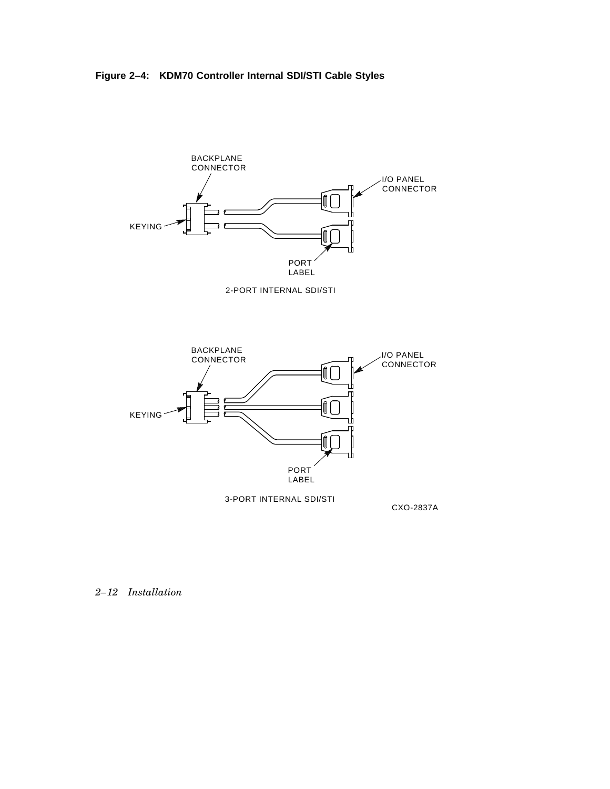**Figure 2–4: KDM70 Controller Internal SDI/STI Cable Styles**



## *2–12 Installation*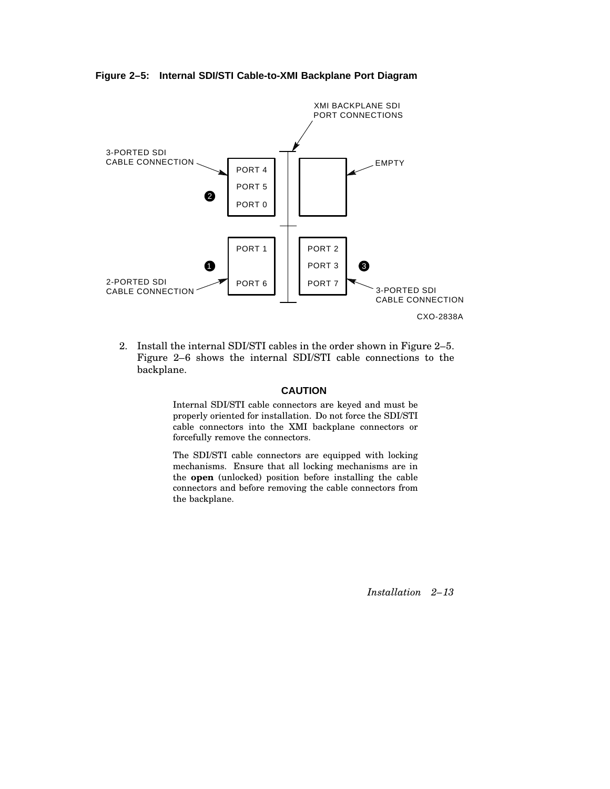**Figure 2–5: Internal SDI/STI Cable-to-XMI Backplane Port Diagram**



2. Install the internal SDI/STI cables in the order shown in Figure 2–5. Figure 2–6 shows the internal SDI/STI cable connections to the backplane.

#### **CAUTION**

Internal SDI/STI cable connectors are keyed and must be properly oriented for installation. Do not force the SDI/STI cable connectors into the XMI backplane connectors or forcefully remove the connectors.

The SDI/STI cable connectors are equipped with locking mechanisms. Ensure that all locking mechanisms are in the **open** (unlocked) position before installing the cable connectors and before removing the cable connectors from the backplane.

*Installation 2–13*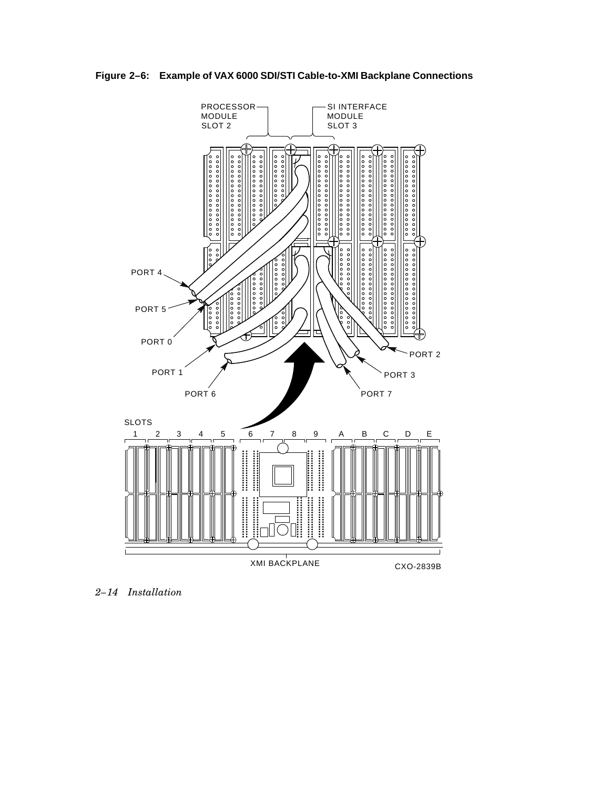



*2–14 Installation*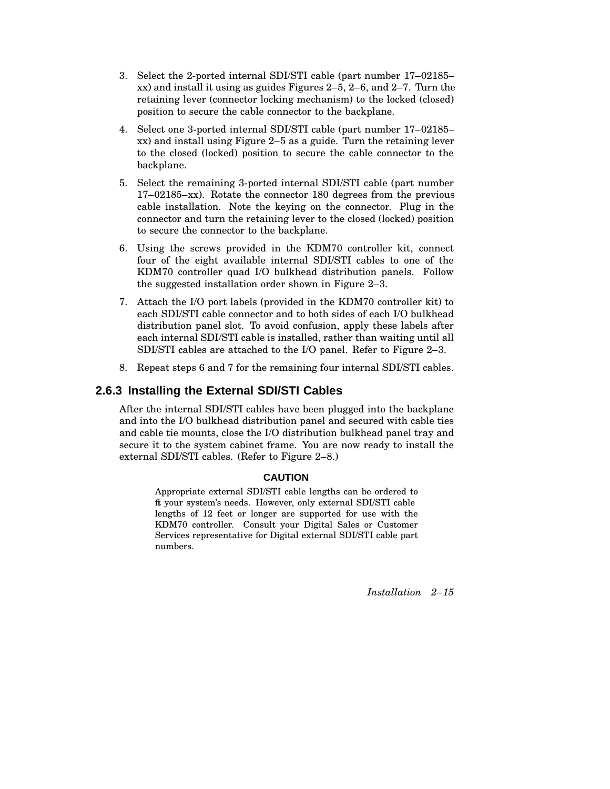- 3. Select the 2-ported internal SDI/STI cable (part number 17–02185– xx) and install it using as guides Figures 2–5, 2–6, and 2–7. Turn the retaining lever (connector locking mechanism) to the locked (closed) position to secure the cable connector to the backplane.
- 4. Select one 3-ported internal SDI/STI cable (part number 17–02185– xx) and install using Figure 2–5 as a guide. Turn the retaining lever to the closed (locked) position to secure the cable connector to the backplane.
- 5. Select the remaining 3-ported internal SDI/STI cable (part number 17–02185–xx). Rotate the connector 180 degrees from the previous cable installation. Note the keying on the connector. Plug in the connector and turn the retaining lever to the closed (locked) position to secure the connector to the backplane.
- 6. Using the screws provided in the KDM70 controller kit, connect four of the eight available internal SDI/STI cables to one of the KDM70 controller quad I/O bulkhead distribution panels. Follow the suggested installation order shown in Figure 2–3.
- 7. Attach the I/O port labels (provided in the KDM70 controller kit) to each SDI/STI cable connector and to both sides of each I/O bulkhead distribution panel slot. To avoid confusion, apply these labels after each internal SDI/STI cable is installed, rather than waiting until all SDI/STI cables are attached to the I/O panel. Refer to Figure 2–3.
- 8. Repeat steps 6 and 7 for the remaining four internal SDI/STI cables.

## **2.6.3 Installing the External SDI/STI Cables**

After the internal SDI/STI cables have been plugged into the backplane and into the I/O bulkhead distribution panel and secured with cable ties and cable tie mounts, close the I/O distribution bulkhead panel tray and secure it to the system cabinet frame. You are now ready to install the external SDI/STI cables. (Refer to Figure 2–8.)

### **CAUTION**

Appropriate external SDI/STI cable lengths can be ordered to fit your system's needs. However, only external SDI/STI cable lengths of 12 feet or longer are supported for use with the KDM70 controller. Consult your Digital Sales or Customer Services representative for Digital external SDI/STI cable part numbers.

*Installation 2–15*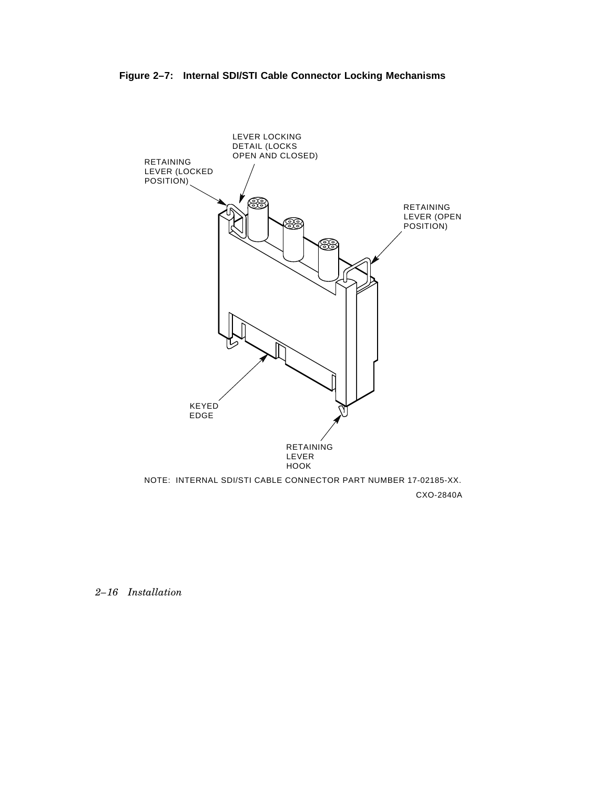



*2–16 Installation*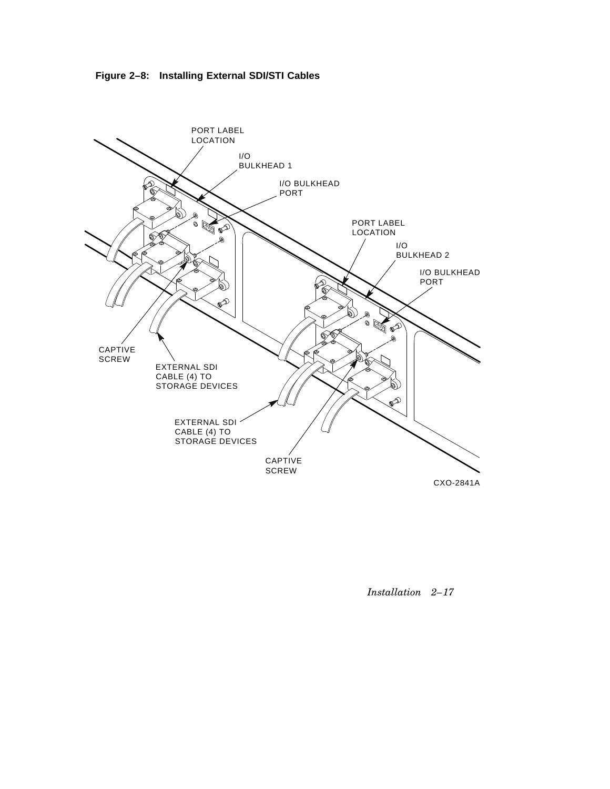



*Installation 2–17*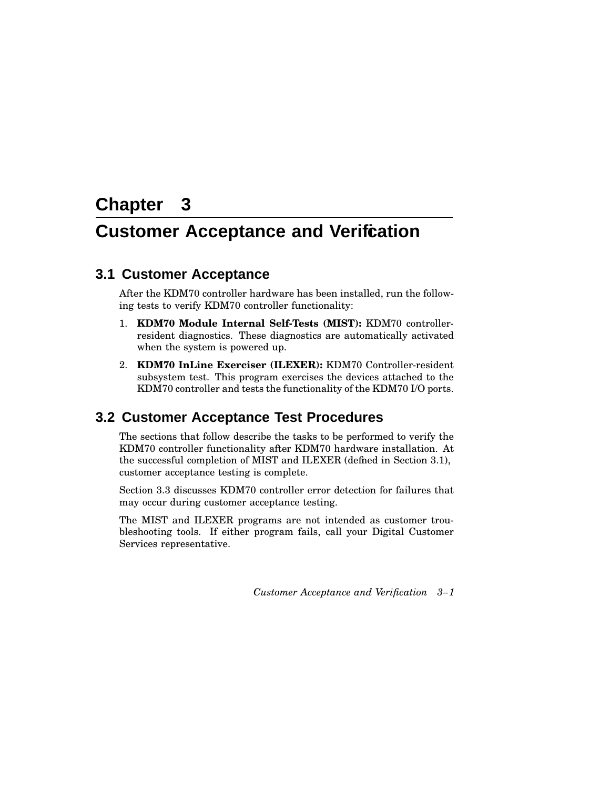# **Chapter 3**

# **Customer Acceptance and Verification**

# **3.1 Customer Acceptance**

After the KDM70 controller hardware has been installed, run the following tests to verify KDM70 controller functionality:

- 1. **KDM70 Module Internal Self-Tests (MIST):** KDM70 controllerresident diagnostics. These diagnostics are automatically activated when the system is powered up.
- 2. **KDM70 InLine Exerciser (ILEXER):** KDM70 Controller-resident subsystem test. This program exercises the devices attached to the KDM70 controller and tests the functionality of the KDM70 I/O ports.

# **3.2 Customer Acceptance Test Procedures**

The sections that follow describe the tasks to be performed to verify the KDM70 controller functionality after KDM70 hardware installation. At the successful completion of MIST and ILEXER (defined in Section 3.1), customer acceptance testing is complete.

Section 3.3 discusses KDM70 controller error detection for failures that may occur during customer acceptance testing.

The MIST and ILEXER programs are not intended as customer troubleshooting tools. If either program fails, call your Digital Customer Services representative.

*Customer Acceptance and Verification 3–1*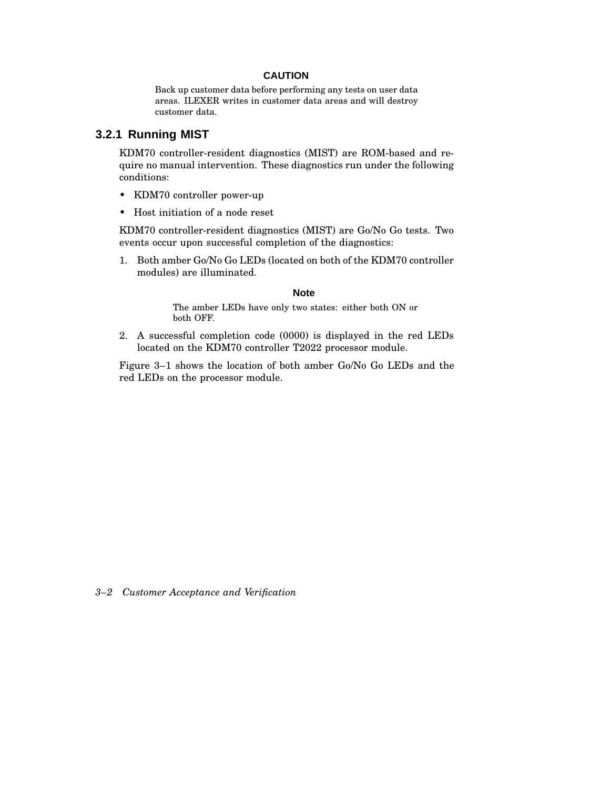#### **CAUTION**

Back up customer data before performing any tests on user data areas. ILEXER writes in customer data areas and will destroy customer data.

### **3.2.1 Running MIST**

KDM70 controller-resident diagnostics (MIST) are ROM-based and require no manual intervention. These diagnostics run under the following conditions:

- KDM70 controller power-up
- Host initiation of a node reset

KDM70 controller-resident diagnostics (MIST) are Go/No Go tests. Two events occur upon successful completion of the diagnostics:

1. Both amber Go/No Go LEDs (located on both of the KDM70 controller modules) are illuminated.

#### **Note**

The amber LEDs have only two states: either both ON or both OFF.

2. A successful completion code (0000) is displayed in the red LEDs located on the KDM70 controller T2022 processor module.

Figure 3–1 shows the location of both amber Go/No Go LEDs and the red LEDs on the processor module.

*3–2 Customer Acceptance and Verification*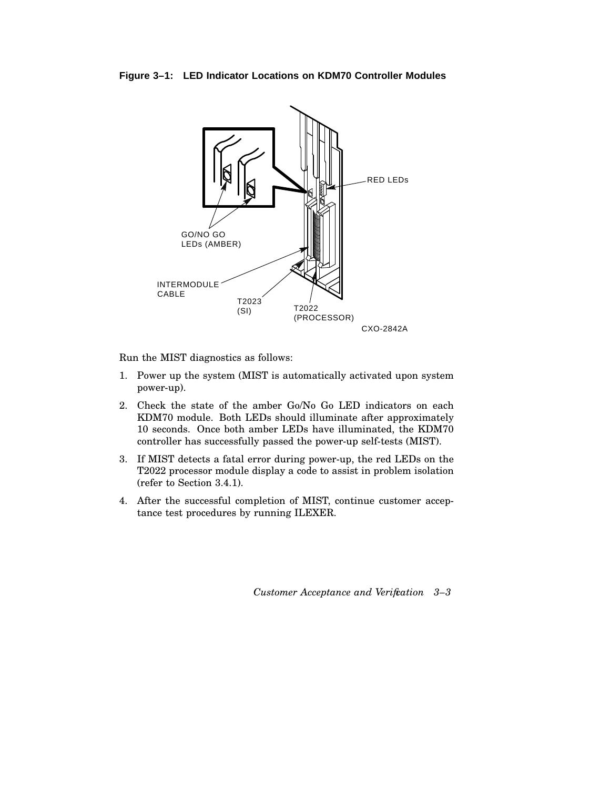**Figure 3–1: LED Indicator Locations on KDM70 Controller Modules**



Run the MIST diagnostics as follows:

- 1. Power up the system (MIST is automatically activated upon system power-up).
- 2. Check the state of the amber Go/No Go LED indicators on each KDM70 module. Both LEDs should illuminate after approximately 10 seconds. Once both amber LEDs have illuminated, the KDM70 controller has successfully passed the power-up self-tests (MIST).
- 3. If MIST detects a fatal error during power-up, the red LEDs on the T2022 processor module display a code to assist in problem isolation (refer to Section 3.4.1).
- 4. After the successful completion of MIST, continue customer acceptance test procedures by running ILEXER.

*Customer Acceptance and Verification 3–3*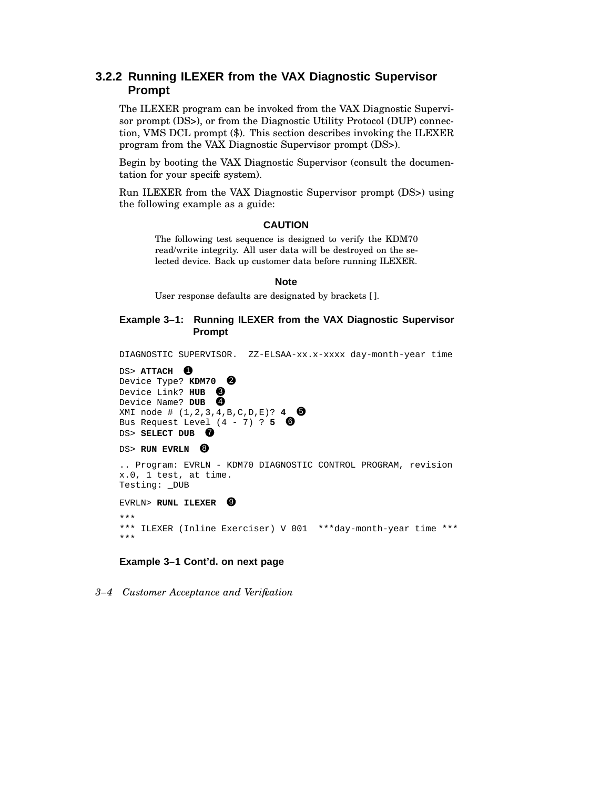## **3.2.2 Running ILEXER from the VAX Diagnostic Supervisor Prompt**

The ILEXER program can be invoked from the VAX Diagnostic Supervisor prompt (DS>), or from the Diagnostic Utility Protocol (DUP) connection, VMS DCL prompt (\$). This section describes invoking the ILEXER program from the VAX Diagnostic Supervisor prompt (DS>).

Begin by booting the VAX Diagnostic Supervisor (consult the documentation for your specific system).

Run ILEXER from the VAX Diagnostic Supervisor prompt (DS>) using the following example as a guide:

#### **CAUTION**

The following test sequence is designed to verify the KDM70 read/write integrity. All user data will be destroyed on the selected device. Back up customer data before running ILEXER.

#### **Note**

User response defaults are designated by brackets [ ].

#### **Example 3–1: Running ILEXER from the VAX Diagnostic Supervisor Prompt**

DIAGNOSTIC SUPERVISOR. ZZ-ELSAA-xx.x-xxxx day-month-year time DS> **ATTACH** 1 Device Type? **KDM70** 2 Device Link? HUB <sup>3</sup> Device Name? DUB <sup>4</sup> XMI node # (1,2,3,4,B,C,D,E)? **4** 5 Bus Request Level  $(4 - 7)$  ? 5  $\bullet$ DS> SELECT DUB <sup>7</sup> DS> **RUN EVRLN** 8 .. Program: EVRLN - KDM70 DIAGNOSTIC CONTROL PROGRAM, revision x.0, 1 test, at time. Testing: \_DUB EVRLN> **RUNL ILEXER** <sup>9</sup> \*\*\* \*\*\* ILEXER (Inline Exerciser) V 001 \*\*\*day-month-year time \*\*\* \*\*\*

#### **Example 3–1 Cont'd. on next page**

*3–4 Customer Acceptance and Verification*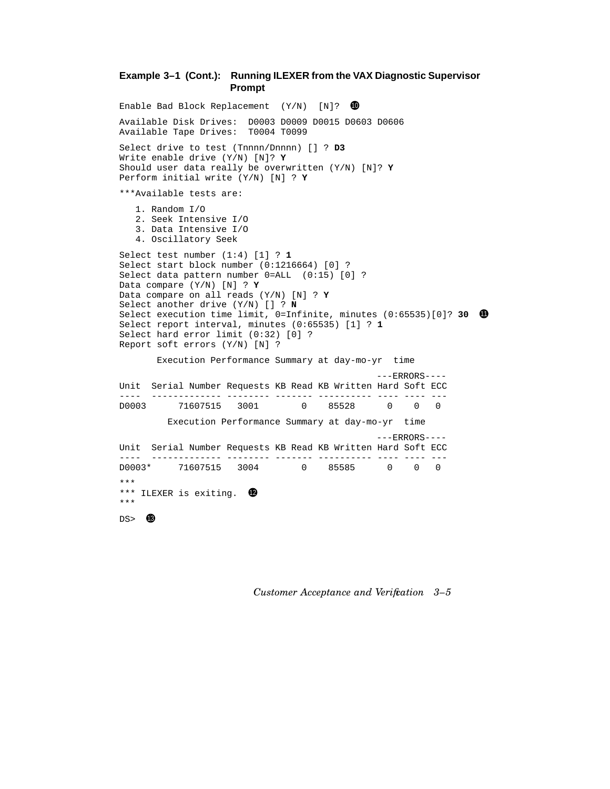### **Example 3–1 (Cont.): Running ILEXER from the VAX Diagnostic Supervisor Prompt**

```
Enable Bad Block Replacement (Y/N) [N]? \bulletAvailable Disk Drives: D0003 D0009 D0015 D0603 D0606
Available Tape Drives: T0004 T0099
Select drive to test (Tnnnn/Dnnnn) [] ? D3
Write enable drive (Y/N) [N]? Y
Should user data really be overwritten (Y/N) [N]? Y
Perform initial write (Y/N) [N] ? Y
***Available tests are:
  1. Random I/O
  2. Seek Intensive I/O
  3. Data Intensive I/O
  4. Oscillatory Seek
Select test number (1:4) [1] ? 1
Select start block number (0:1216664) [0] ?
Select data pattern number 0=ALL (0:15) [0] ?
Data compare (Y/N) [N] ? Y
Data compare on all reads (Y/N) [N] ? Y
Select another drive (Y/N) [] ? N
Select execution time limit, 0=Infinite, minutes (0:65535)[0]? 30 0
Select report interval, minutes (0:65535) [1] ? 1
Select hard error limit (0:32) [0] ?
Report soft errors (Y/N) [N] ?
      Execution Performance Summary at day-mo-yr time
                                              ---ERRORS----
Unit Serial Number Requests KB Read KB Written Hard Soft ECC
---- ------------- -------- ------- ---------- ---- ---- ---
        D0003 71607515 3001 0 85528 0 0 0
        Execution Performance Summary at day-mo-yr time
                                              ---ERRORS---Unit Serial Number Requests KB Read KB Written Hard Soft ECC
---- ------------- -------- ------- ---------- ---- ---- ---
D0003* 71607515 3004 0 85585 0 0 0
***
*** ILEXER is exiting. <sup>12</sup>
***
DS > 03
```
*Customer Acceptance and Verification 3–5*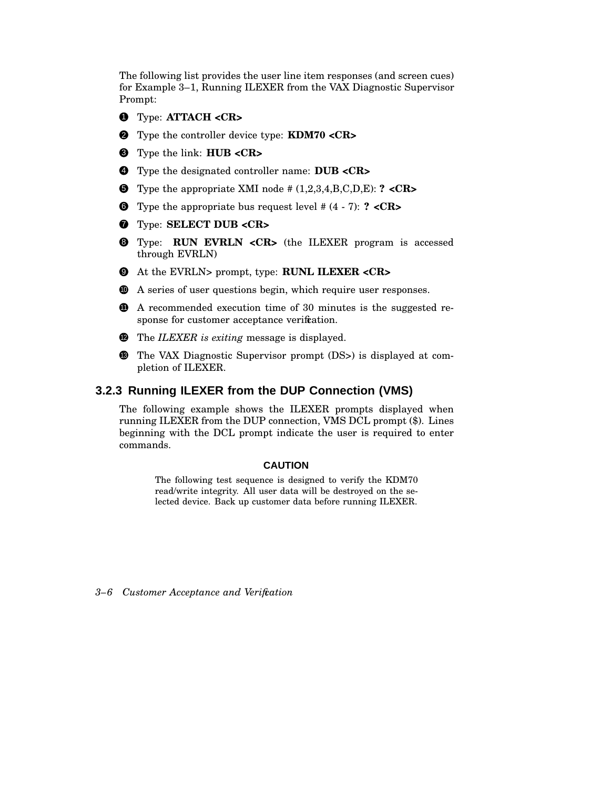The following list provides the user line item responses (and screen cues) for Example 3–1, Running ILEXER from the VAX Diagnostic Supervisor Prompt:

- 1 Type: **ATTACH <CR>**
- 2 Type the controller device type: **KDM70 <CR>**
- 3 Type the link: **HUB <CR>**
- 4 Type the designated controller name: **DUB <CR>**
- 5 Type the appropriate XMI node # (1,2,3,4,B,C,D,E): **? <CR>**
- 6 Type the appropriate bus request level # (4 7): **? <CR>**
- 7 Type: **SELECT DUB <CR>**
- 8 Type: **RUN EVRLN <CR>** (the ILEXER program is accessed through EVRLN)
- 9 At the EVRLN> prompt, type: **RUNL ILEXER <CR>**
- <sup>10</sup> A series of user questions begin, which require user responses.
- **11** A recommended execution time of 30 minutes is the suggested response for customer acceptance verification.
- <sup>12</sup> The *ILEXER is exiting* message is displayed.
- **13** The VAX Diagnostic Supervisor prompt (DS>) is displayed at completion of ILEXER.

### **3.2.3 Running ILEXER from the DUP Connection (VMS)**

The following example shows the ILEXER prompts displayed when running ILEXER from the DUP connection, VMS DCL prompt (\$). Lines beginning with the DCL prompt indicate the user is required to enter commands.

#### **CAUTION**

The following test sequence is designed to verify the KDM70 read/write integrity. All user data will be destroyed on the selected device. Back up customer data before running ILEXER.

*<sup>3–6</sup> Customer Acceptance and Verification*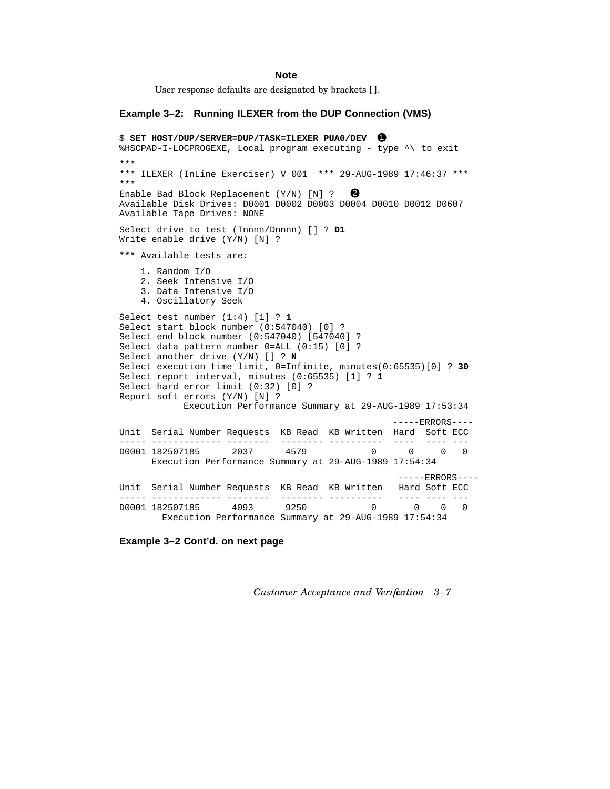#### **Note**

User response defaults are designated by brackets [ ].

#### **Example 3–2: Running ILEXER from the DUP Connection (VMS)**

```
$ SET HOST/DUP/SERVER=DUP/TASK=ILEXER PUA0/DEV 1
%HSCPAD-I-LOCPROGEXE, Local program executing - type ^\ to exit
***
*** ILEXER (InLine Exerciser) V 001 *** 29-AUG-1989 17:46:37 ***
***
Enable Bad Block Replacement (Y/N) [N] ? 2
Available Disk Drives: D0001 D0002 D0003 D0004 D0010 D0012 D0607
Available Tape Drives: NONE
Select drive to test (Tnnnn/Dnnnn) [] ? D1
Write enable drive (Y/N) [N] ?
*** Available tests are:
   1. Random I/O
   2. Seek Intensive I/O
   3. Data Intensive I/O
   4. Oscillatory Seek
Select test number (1:4) [1] ? 1
Select start block number (0:547040) [0] ?
Select end block number (0:547040) [547040] ?
Select data pattern number 0=ALL (0:15) [0] ?
Select another drive (Y/N) [] ? N
Select execution time limit, 0=Infinite, minutes(0:65535)[0] ? 30
Select report interval, minutes (0:65535) [1] ? 1
Select hard error limit (0:32) [0] ?
Report soft errors (Y/N) [N] ?
          Execution Performance Summary at 29-AUG-1989 17:53:34
                                                ---ERRORS---Unit Serial Number Requests KB Read KB Written Hard Soft ECC
----- ------------- -------- -------- ---------- ---- ---- ---
D0001 182507185 2037 4579 0 0 0 0
     Execution Performance Summary at 29-AUG-1989 17:54:34
                                                 -----ERRORS----
Unit Serial Number Requests KB Read KB Written Hard Soft ECC
----- ------------- -------- -------- ---------- ---- ---- ---
D0001 182507185 4093 9250 0 0 0 0
       Execution Performance Summary at 29-AUG-1989 17:54:34
```
**Example 3–2 Cont'd. on next page**

*Customer Acceptance and Verification 3–7*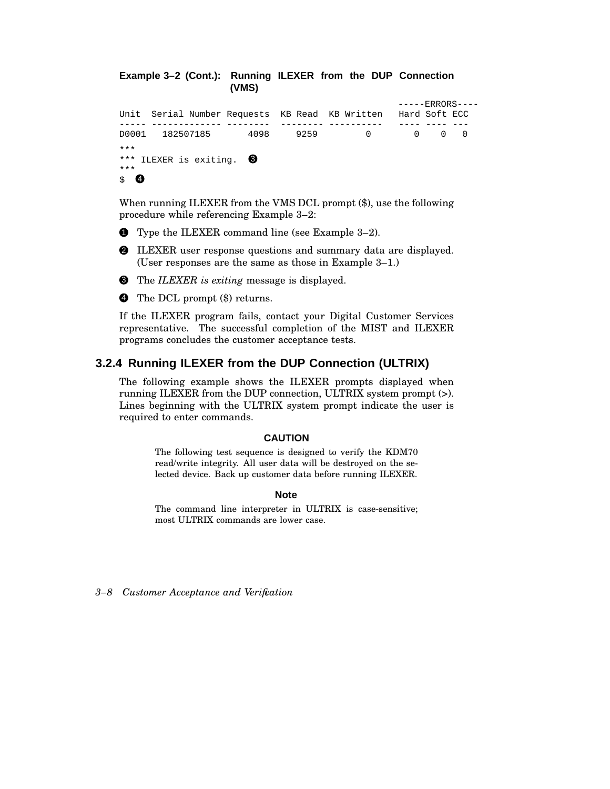**Example 3–2 (Cont.): Running ILEXER from the DUP Connection (VMS)**  $---ERRORS---$ Unit Serial Number Requests KB Read KB Written Hard Soft ECC ----- ------------- -------- -------- ---------- ---- ---- --- D0001 182507185 4098 9259 0

\*\*\* \*\*\* ILEXER is exiting.  $\bigcirc$ \*\*\*  $\mathbf{s}$  4

When running ILEXER from the VMS DCL prompt (\$), use the following procedure while referencing Example 3–2:

- **1** Type the ILEXER command line (see Example 3–2).
- 2 ILEXER user response questions and summary data are displayed. (User responses are the same as those in Example 3–1.)
- 3 The *ILEXER is exiting* message is displayed.

**4** The DCL prompt  $(\$)$  returns.

If the ILEXER program fails, contact your Digital Customer Services representative. The successful completion of the MIST and ILEXER programs concludes the customer acceptance tests.

### **3.2.4 Running ILEXER from the DUP Connection (ULTRIX)**

The following example shows the ILEXER prompts displayed when running ILEXER from the DUP connection, ULTRIX system prompt (>). Lines beginning with the ULTRIX system prompt indicate the user is required to enter commands.

#### **CAUTION**

The following test sequence is designed to verify the KDM70 read/write integrity. All user data will be destroyed on the selected device. Back up customer data before running ILEXER.

#### **Note**

The command line interpreter in ULTRIX is case-sensitive; most ULTRIX commands are lower case.

*3–8 Customer Acceptance and Verification*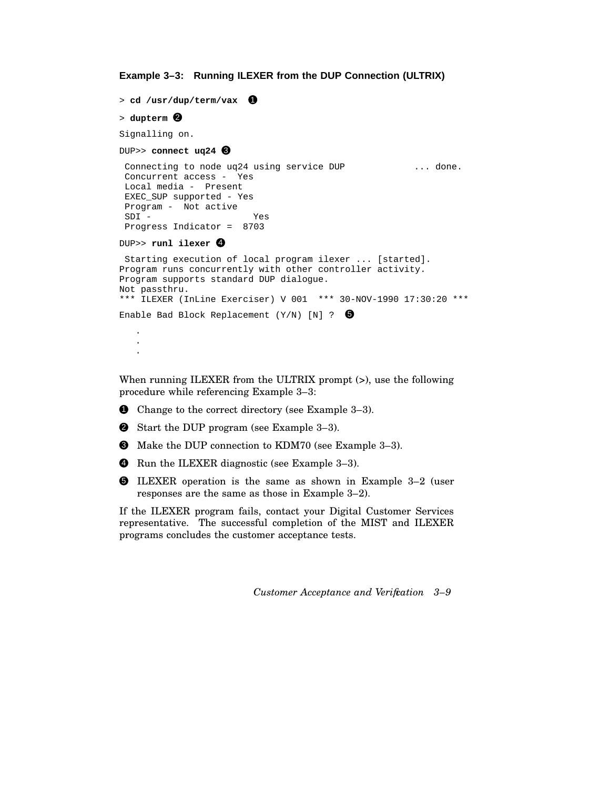```
Example 3–3: Running ILEXER from the DUP Connection (ULTRIX)
```

```
> cd /usr/dup/term/vax 0
> dupterm 2
Signalling on.
DUP>> connect uq24 <sup>3</sup>
Connecting to node uq24 using service DUP ... done.
Concurrent access - Yes
Local media - Present
EXEC_SUP supported - Yes
Program - Not active
SDI - Yes
Progress Indicator = 8703
DUP>> runl ilexer 4
Starting execution of local program ilexer ... [started].
Program runs concurrently with other controller activity.
Program supports standard DUP dialogue.
Not passthru.
*** ILEXER (InLine Exerciser) V 001 *** 30-NOV-1990 17:30:20 ***
Enable Bad Block Replacement (Y/N) [N] ? \bullet.
   .
   .
```
When running ILEXER from the ULTRIX prompt (>), use the following procedure while referencing Example 3–3:

- **1** Change to the correct directory (see Example 3–3).
- **2** Start the DUP program (see Example 3-3).
- 3 Make the DUP connection to KDM70 (see Example 3–3).
- **4** Run the ILEXER diagnostic (see Example 3-3).
- 5 ILEXER operation is the same as shown in Example 3–2 (user responses are the same as those in Example 3–2).

If the ILEXER program fails, contact your Digital Customer Services representative. The successful completion of the MIST and ILEXER programs concludes the customer acceptance tests.

*Customer Acceptance and Verification 3–9*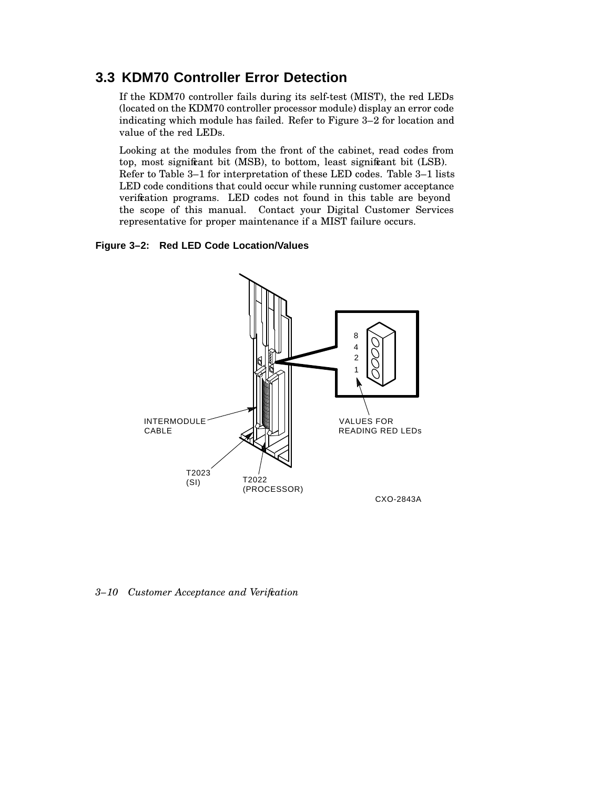# **3.3 KDM70 Controller Error Detection**

If the KDM70 controller fails during its self-test (MIST), the red LEDs (located on the KDM70 controller processor module) display an error code indicating which module has failed. Refer to Figure 3–2 for location and value of the red LEDs.

Looking at the modules from the front of the cabinet, read codes from top, most significant bit (MSB), to bottom, least significant bit (LSB). Refer to Table 3–1 for interpretation of these LED codes. Table 3–1 lists LED code conditions that could occur while running customer acceptance verification programs. LED codes not found in this table are beyond the scope of this manual. Contact your Digital Customer Services representative for proper maintenance if a MIST failure occurs.

### **Figure 3–2: Red LED Code Location/Values**



*3–10 Customer Acceptance and Verification*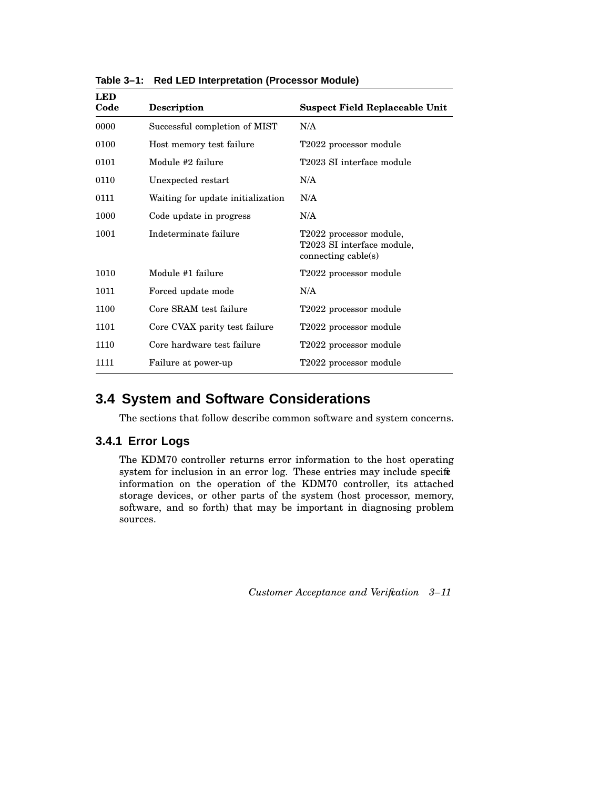| <b>LED</b><br>Code | Description                       | <b>Suspect Field Replaceable Unit</b>                                        |
|--------------------|-----------------------------------|------------------------------------------------------------------------------|
| 0000               | Successful completion of MIST     | N/A                                                                          |
| 0100               | Host memory test failure          | T2022 processor module                                                       |
| 0101               | Module #2 failure                 | T2023 SI interface module                                                    |
| 0110               | Unexpected restart                | N/A                                                                          |
| 0111               | Waiting for update initialization | N/A                                                                          |
| 1000               | Code update in progress           | N/A                                                                          |
| 1001               | Indeterminate failure             | T2022 processor module,<br>T2023 SI interface module,<br>connecting cable(s) |
| 1010               | Module #1 failure                 | T2022 processor module                                                       |
| 1011               | Forced update mode                | N/A                                                                          |
| 1100               | Core SRAM test failure            | T2022 processor module                                                       |
| 1101               | Core CVAX parity test failure     | T2022 processor module                                                       |
| 1110               | Core hardware test failure        | T2022 processor module                                                       |
| 1111               | Failure at power-up               | T2022 processor module                                                       |

**Table 3–1: Red LED Interpretation (Processor Module)**

# **3.4 System and Software Considerations**

The sections that follow describe common software and system concerns.

## **3.4.1 Error Logs**

The KDM70 controller returns error information to the host operating system for inclusion in an error log. These entries may include specific information on the operation of the KDM70 controller, its attached storage devices, or other parts of the system (host processor, memory, software, and so forth) that may be important in diagnosing problem sources.

*Customer Acceptance and Verification 3–11*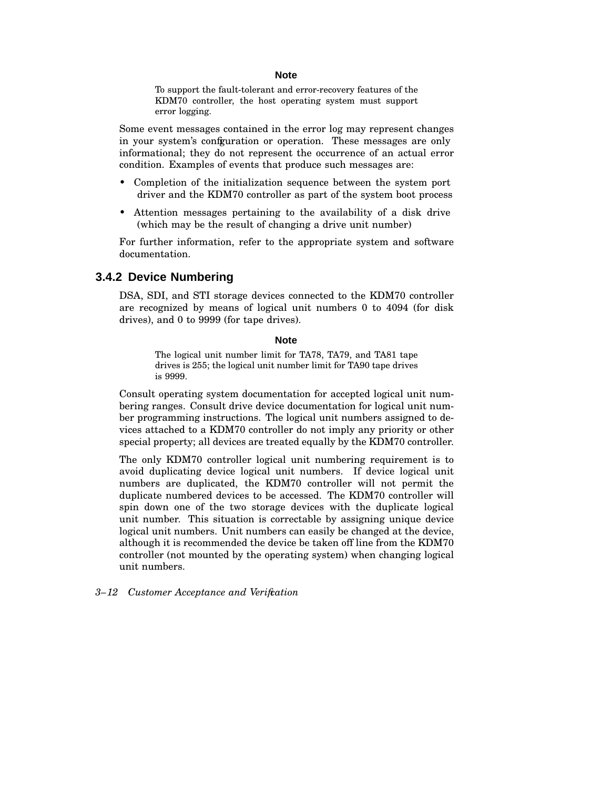#### **Note**

To support the fault-tolerant and error-recovery features of the KDM70 controller, the host operating system must support error logging.

Some event messages contained in the error log may represent changes in your system's confguration or operation. These messages are only informational; they do not represent the occurrence of an actual error condition. Examples of events that produce such messages are:

- Completion of the initialization sequence between the system port driver and the KDM70 controller as part of the system boot process
- Attention messages pertaining to the availability of a disk drive (which may be the result of changing a drive unit number)

For further information, refer to the appropriate system and software documentation.

#### **3.4.2 Device Numbering**

DSA, SDI, and STI storage devices connected to the KDM70 controller are recognized by means of logical unit numbers 0 to 4094 (for disk drives), and 0 to 9999 (for tape drives).

#### **Note**

The logical unit number limit for TA78, TA79, and TA81 tape drives is 255; the logical unit number limit for TA90 tape drives is 9999.

Consult operating system documentation for accepted logical unit numbering ranges. Consult drive device documentation for logical unit number programming instructions. The logical unit numbers assigned to devices attached to a KDM70 controller do not imply any priority or other special property; all devices are treated equally by the KDM70 controller.

The only KDM70 controller logical unit numbering requirement is to avoid duplicating device logical unit numbers. If device logical unit numbers are duplicated, the KDM70 controller will not permit the duplicate numbered devices to be accessed. The KDM70 controller will spin down one of the two storage devices with the duplicate logical unit number. This situation is correctable by assigning unique device logical unit numbers. Unit numbers can easily be changed at the device, although it is recommended the device be taken off line from the KDM70 controller (not mounted by the operating system) when changing logical unit numbers.

#### *3–12 Customer Acceptance and Verification*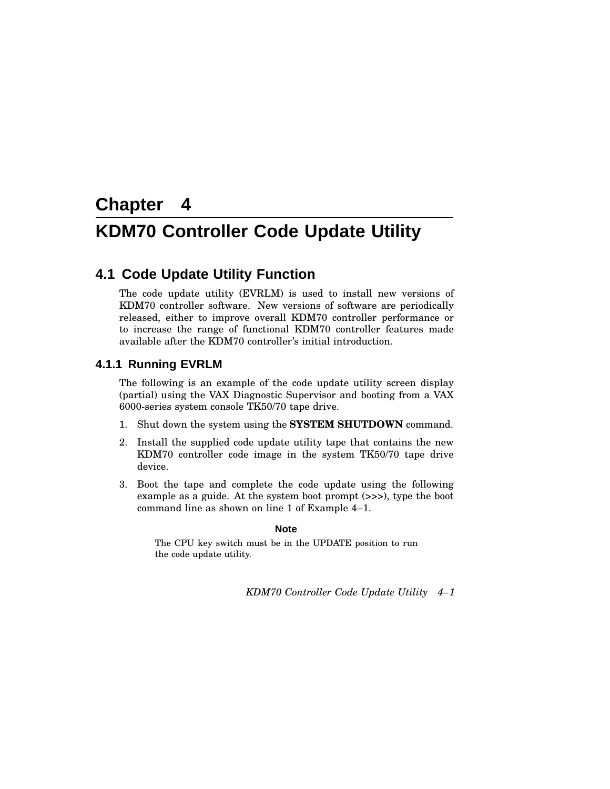# **Chapter 4**

# **KDM70 Controller Code Update Utility**

# **4.1 Code Update Utility Function**

The code update utility (EVRLM) is used to install new versions of KDM70 controller software. New versions of software are periodically released, either to improve overall KDM70 controller performance or to increase the range of functional KDM70 controller features made available after the KDM70 controller's initial introduction.

### **4.1.1 Running EVRLM**

The following is an example of the code update utility screen display (partial) using the VAX Diagnostic Supervisor and booting from a VAX 6000-series system console TK50/70 tape drive.

- 1. Shut down the system using the **SYSTEM SHUTDOWN** command.
- 2. Install the supplied code update utility tape that contains the new KDM70 controller code image in the system TK50/70 tape drive device.
- 3. Boot the tape and complete the code update using the following example as a guide. At the system boot prompt (>>>), type the boot command line as shown on line 1 of Example 4–1.

#### **Note**

The CPU key switch must be in the UPDATE position to run the code update utility.

*KDM70 Controller Code Update Utility 4–1*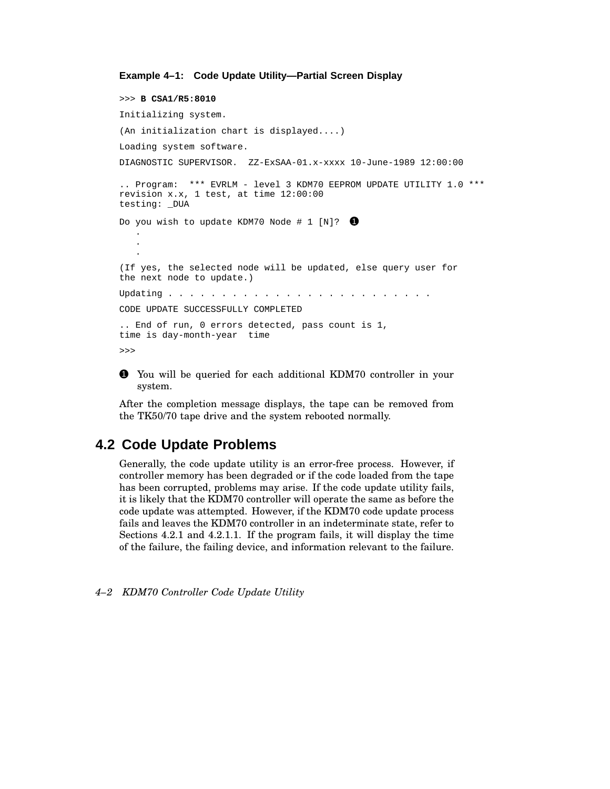#### **Example 4–1: Code Update Utility—Partial Screen Display**

>>> **B CSA1/R5:8010** Initializing system. (An initialization chart is displayed....) Loading system software. DIAGNOSTIC SUPERVISOR. ZZ-ExSAA-01.x-xxxx 10-June-1989 12:00:00 .. Program: \*\*\* EVRLM - level 3 KDM70 EEPROM UPDATE UTILITY 1.0 \*\*\* revision x.x, 1 test, at time 12:00:00 testing: \_DUA Do you wish to update KDM70 Node # 1 [N]?  $\bullet$ . . . (If yes, the selected node will be updated, else query user for the next node to update.) Updating . . . . . . . . . . . . . . . . . . . . . . . . . CODE UPDATE SUCCESSFULLY COMPLETED .. End of run, 0 errors detected, pass count is 1, time is day-month-year time >>>

1 You will be queried for each additional KDM70 controller in your system.

After the completion message displays, the tape can be removed from the TK50/70 tape drive and the system rebooted normally.

## **4.2 Code Update Problems**

Generally, the code update utility is an error-free process. However, if controller memory has been degraded or if the code loaded from the tape has been corrupted, problems may arise. If the code update utility fails, it is likely that the KDM70 controller will operate the same as before the code update was attempted. However, if the KDM70 code update process fails and leaves the KDM70 controller in an indeterminate state, refer to Sections 4.2.1 and 4.2.1.1. If the program fails, it will display the time of the failure, the failing device, and information relevant to the failure.

```
4–2 KDM70 Controller Code Update Utility
```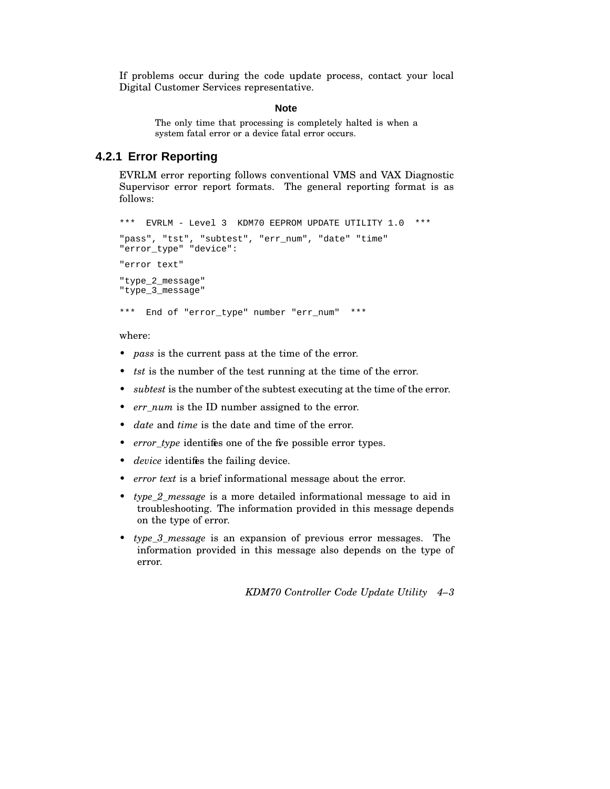If problems occur during the code update process, contact your local Digital Customer Services representative.

#### **Note**

The only time that processing is completely halted is when a system fatal error or a device fatal error occurs.

## **4.2.1 Error Reporting**

EVRLM error reporting follows conventional VMS and VAX Diagnostic Supervisor error report formats. The general reporting format is as follows:

```
*** EVRLM - Level 3 KDM70 EEPROM UPDATE UTILITY 1.0 ***
"pass", "tst", "subtest", "err_num", "date" "time"
"error_type" "device":
"error text"
"type_2_message"
"type_3_message"
*** End of "error_type" number "err_num" ***
```
where:

- *pass* is the current pass at the time of the error.
- *tst* is the number of the test running at the time of the error.
- *subtest* is the number of the subtest executing at the time of the error.
- *err\_num* is the ID number assigned to the error.
- *date* and *time* is the date and time of the error.
- *error\_type* identifies one of the five possible error types.
- *device* identifies the failing device.
- *error text* is a brief informational message about the error.
- *type\_2\_message* is a more detailed informational message to aid in troubleshooting. The information provided in this message depends on the type of error.
- *type\_3\_message* is an expansion of previous error messages. The information provided in this message also depends on the type of error.

*KDM70 Controller Code Update Utility 4–3*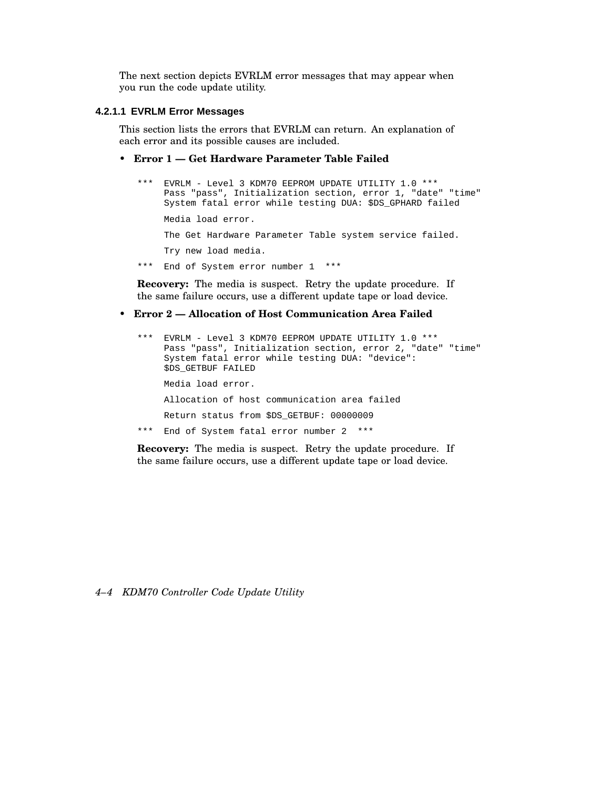The next section depicts EVRLM error messages that may appear when you run the code update utility.

#### **4.2.1.1 EVRLM Error Messages**

This section lists the errors that EVRLM can return. An explanation of each error and its possible causes are included.

#### • **Error 1 — Get Hardware Parameter Table Failed**

```
*** EVRLM - Level 3 KDM70 EEPROM UPDATE UTILITY 1.0 ***
    Pass "pass", Initialization section, error 1, "date" "time"
    System fatal error while testing DUA: $DS_GPHARD failed
    Media load error.
    The Get Hardware Parameter Table system service failed.
    Try new load media.
*** End of System error number 1 ***
```
**Recovery:** The media is suspect. Retry the update procedure. If the same failure occurs, use a different update tape or load device.

• **Error 2 — Allocation of Host Communication Area Failed**

```
*** EVRLM - Level 3 KDM70 EEPROM UPDATE UTILITY 1.0 ***
    Pass "pass", Initialization section, error 2, "date" "time"
    System fatal error while testing DUA: "device":
    $DS_GETBUF FAILED
    Media load error.
    Allocation of host communication area failed
    Return status from $DS_GETBUF: 00000009
*** End of System fatal error number 2 ***
```
**Recovery:** The media is suspect. Retry the update procedure. If the same failure occurs, use a different update tape or load device.

#### *4–4 KDM70 Controller Code Update Utility*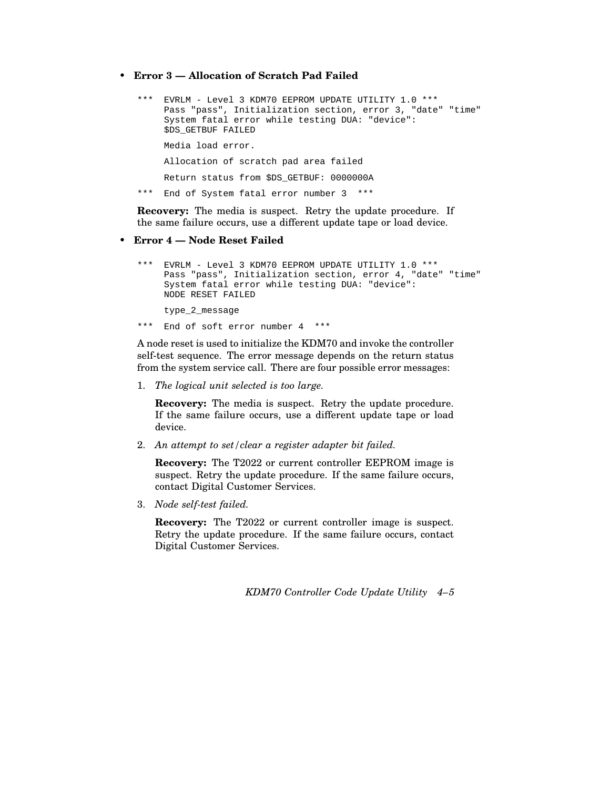• **Error 3 — Allocation of Scratch Pad Failed**

```
*** EVRLM - Level 3 KDM70 EEPROM UPDATE UTILITY 1.0 ***
    Pass "pass", Initialization section, error 3, "date" "time"
    System fatal error while testing DUA: "device":
    $DS_GETBUF FAILED
    Media load error.
    Allocation of scratch pad area failed
    Return status from $DS_GETBUF: 0000000A
*** End of System fatal error number 3 ***
```
**Recovery:** The media is suspect. Retry the update procedure. If the same failure occurs, use a different update tape or load device.

#### • **Error 4 — Node Reset Failed**

```
*** EVRLM - Level 3 KDM70 EEPROM UPDATE UTILITY 1.0 ***
    Pass "pass", Initialization section, error 4, "date" "time"
    System fatal error while testing DUA: "device":
    NODE RESET FAILED
    type_2_message
*** End of soft error number 4 ***
```
A node reset is used to initialize the KDM70 and invoke the controller self-test sequence. The error message depends on the return status from the system service call. There are four possible error messages:

1. *The logical unit selected is too large.*

**Recovery:** The media is suspect. Retry the update procedure. If the same failure occurs, use a different update tape or load device.

2. *An attempt to set/clear a register adapter bit failed.*

**Recovery:** The T2022 or current controller EEPROM image is suspect. Retry the update procedure. If the same failure occurs, contact Digital Customer Services.

3. *Node self-test failed.*

**Recovery:** The T2022 or current controller image is suspect. Retry the update procedure. If the same failure occurs, contact Digital Customer Services.

*KDM70 Controller Code Update Utility 4–5*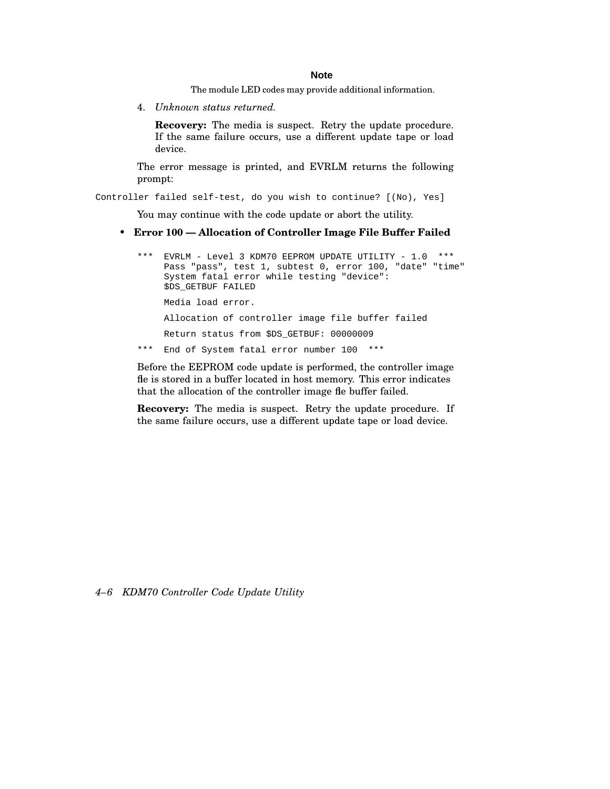#### **Note**

The module LED codes may provide additional information.

4. *Unknown status returned.*

**Recovery:** The media is suspect. Retry the update procedure. If the same failure occurs, use a different update tape or load device.

The error message is printed, and EVRLM returns the following prompt:

Controller failed self-test, do you wish to continue? [(No), Yes]

You may continue with the code update or abort the utility.

#### • **Error 100 — Allocation of Controller Image File Buffer Failed**

```
*** EVRLM - Level 3 KDM70 EEPROM UPDATE UTILITY - 1.0 ***
    Pass "pass", test 1, subtest 0, error 100, "date" "time"
    System fatal error while testing "device":
     $DS_GETBUF FAILED
    Media load error.
    Allocation of controller image file buffer failed
    Return status from $DS_GETBUF: 00000009
*** End of System fatal error number 100 ***
```
Before the EEPROM code update is performed, the controller image fle is stored in a buffer located in host memory. This error indicates that the allocation of the controller image fle buffer failed.

**Recovery:** The media is suspect. Retry the update procedure. If the same failure occurs, use a different update tape or load device.

*4–6 KDM70 Controller Code Update Utility*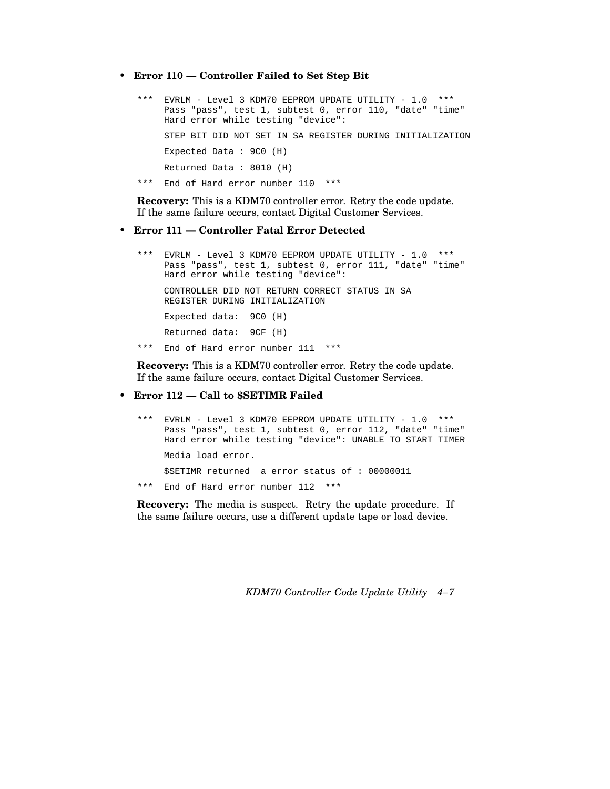• **Error 110 — Controller Failed to Set Step Bit**

```
*** EVRLM - Level 3 KDM70 EEPROM UPDATE UTILITY - 1.0 ***
     Pass "pass", test 1, subtest 0, error 110, "date" "time"
    Hard error while testing "device":
    STEP BIT DID NOT SET IN SA REGISTER DURING INITIALIZATION
    Expected Data : 9C0 (H)
    Returned Data : 8010 (H)
*** End of Hard error number 110 ***
```
**Recovery:** This is a KDM70 controller error. Retry the code update. If the same failure occurs, contact Digital Customer Services.

• **Error 111 — Controller Fatal Error Detected**

```
*** EVRLM - Level 3 KDM70 EEPROM UPDATE UTILITY - 1.0 ***
    Pass "pass", test 1, subtest 0, error 111, "date" "time"
    Hard error while testing "device":
    CONTROLLER DID NOT RETURN CORRECT STATUS IN SA
    REGISTER DURING INITIALIZATION
    Expected data: 9C0 (H)
    Returned data: 9CF (H)
*** End of Hard error number 111 ***
```
**Recovery:** This is a KDM70 controller error. Retry the code update. If the same failure occurs, contact Digital Customer Services.

• **Error 112 — Call to \$SETIMR Failed**

\*\*\* EVRLM - Level 3 KDM70 EEPROM UPDATE UTILITY - 1.0 \*\*\* Pass "pass", test 1, subtest 0, error 112, "date" "time" Hard error while testing "device": UNABLE TO START TIMER Media load error. \$SETIMR returned a error status of : 00000011 \*\*\* End of Hard error number 112 \*\*\*

**Recovery:** The media is suspect. Retry the update procedure. If the same failure occurs, use a different update tape or load device.

*KDM70 Controller Code Update Utility 4–7*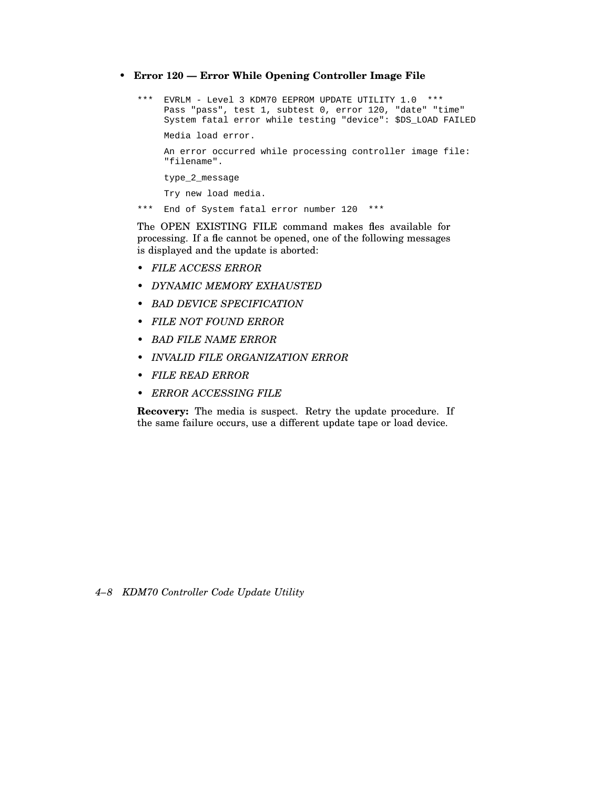• **Error 120 — Error While Opening Controller Image File**

```
*** EVRLM - Level 3 KDM70 EEPROM UPDATE UTILITY 1.0 ***
    Pass "pass", test 1, subtest 0, error 120, "date" "time"
    System fatal error while testing "device": $DS_LOAD FAILED
    Media load error.
    An error occurred while processing controller image file:
    "filename".
    type_2_message
    Try new load media.
*** End of System fatal error number 120 ***
```
The OPEN EXISTING FILE command makes fles available for processing. If a fle cannot be opened, one of the following messages is displayed and the update is aborted:

- *FILE ACCESS ERROR*
- *DYNAMIC MEMORY EXHAUSTED*
- *BAD DEVICE SPECIFICATION*
- *FILE NOT FOUND ERROR*
- *BAD FILE NAME ERROR*
- *INVALID FILE ORGANIZATION ERROR*
- *FILE READ ERROR*
- *ERROR ACCESSING FILE*

**Recovery:** The media is suspect. Retry the update procedure. If the same failure occurs, use a different update tape or load device.

*4–8 KDM70 Controller Code Update Utility*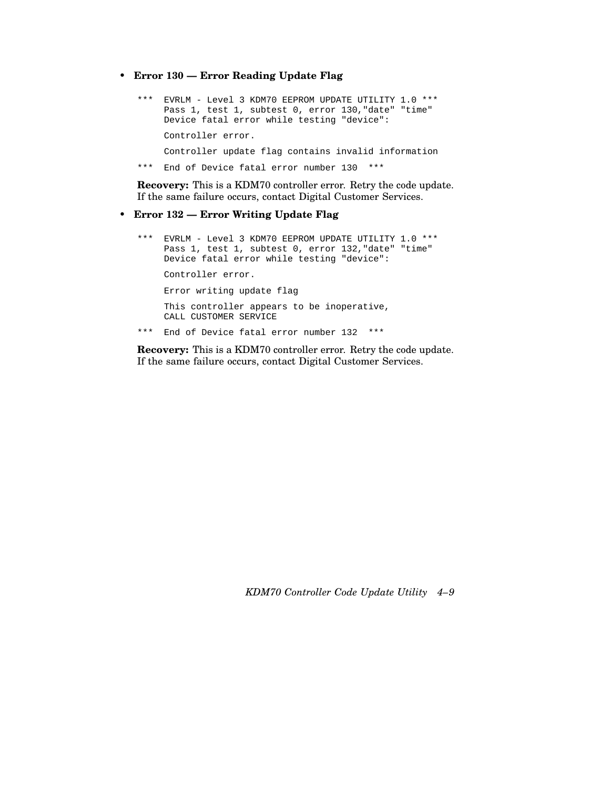• **Error 130 — Error Reading Update Flag**

```
*** EVRLM - Level 3 KDM70 EEPROM UPDATE UTILITY 1.0 ***
    Pass 1, test 1, subtest 0, error 130, "date" "time"
    Device fatal error while testing "device":
    Controller error.
    Controller update flag contains invalid information
*** End of Device fatal error number 130 ***
```
**Recovery:** This is a KDM70 controller error. Retry the code update. If the same failure occurs, contact Digital Customer Services.

#### • **Error 132 — Error Writing Update Flag**

```
*** EVRLM - Level 3 KDM70 EEPROM UPDATE UTILITY 1.0 ***
    Pass 1, test 1, subtest 0, error 132, "date" "time"
    Device fatal error while testing "device":
    Controller error.
    Error writing update flag
    This controller appears to be inoperative,
    CALL CUSTOMER SERVICE
*** End of Device fatal error number 132 ***
```
**Recovery:** This is a KDM70 controller error. Retry the code update. If the same failure occurs, contact Digital Customer Services.

*KDM70 Controller Code Update Utility 4–9*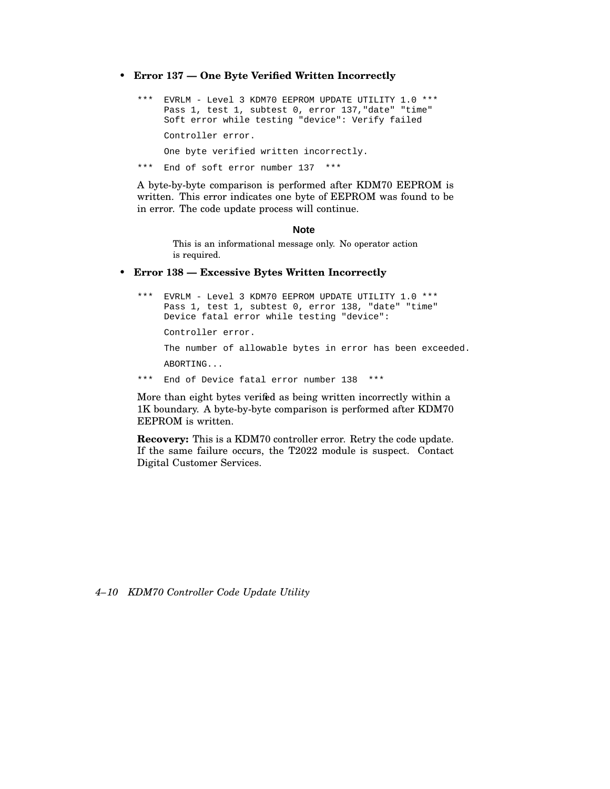• **Error 137 — One Byte Verified Written Incorrectly**

```
*** EVRLM - Level 3 KDM70 EEPROM UPDATE UTILITY 1.0 ***
    Pass 1, test 1, subtest 0, error 137, "date" "time"
    Soft error while testing "device": Verify failed
    Controller error.
    One byte verified written incorrectly.
*** End of soft error number 137 ***
```
A byte-by-byte comparison is performed after KDM70 EEPROM is written. This error indicates one byte of EEPROM was found to be in error. The code update process will continue.

#### **Note**

This is an informational message only. No operator action is required.

#### • **Error 138 — Excessive Bytes Written Incorrectly**

\*\*\* EVRLM - Level 3 KDM70 EEPROM UPDATE UTILITY 1.0 \*\*\* Pass 1, test 1, subtest 0, error 138, "date" "time" Device fatal error while testing "device": Controller error. The number of allowable bytes in error has been exceeded. ABORTING... \*\*\* End of Device fatal error number 138 \*\*\*

More than eight bytes verified as being written incorrectly within a 1K boundary. A byte-by-byte comparison is performed after KDM70 EEPROM is written.

**Recovery:** This is a KDM70 controller error. Retry the code update. If the same failure occurs, the T2022 module is suspect. Contact Digital Customer Services.

*4–10 KDM70 Controller Code Update Utility*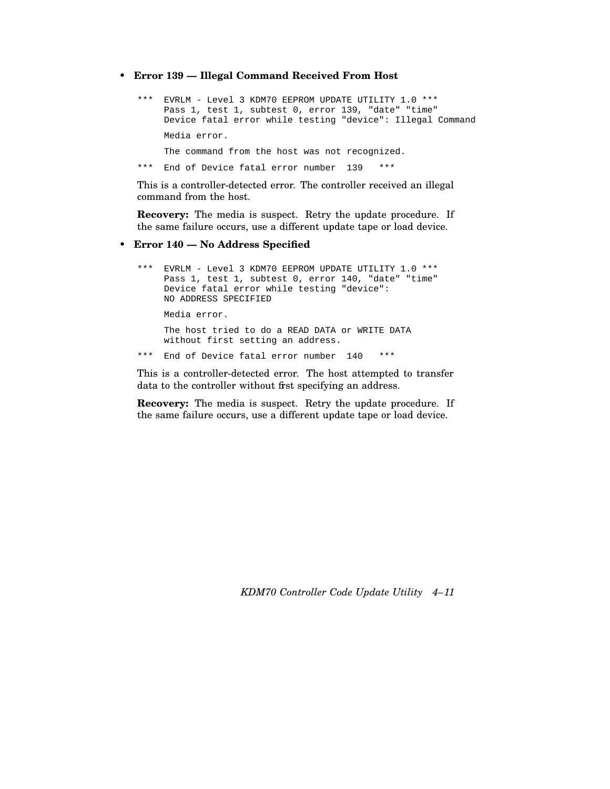• **Error 139 — Illegal Command Received From Host**

```
*** EVRLM - Level 3 KDM70 EEPROM UPDATE UTILITY 1.0 ***
    Pass 1, test 1, subtest 0, error 139, "date" "time"
    Device fatal error while testing "device": Illegal Command
    Media error.
    The command from the host was not recognized.
*** End of Device fatal error number 139 ***
```
This is a controller-detected error. The controller received an illegal command from the host.

**Recovery:** The media is suspect. Retry the update procedure. If the same failure occurs, use a different update tape or load device.

#### • **Error 140 — No Address Specified**

```
*** EVRLM - Level 3 KDM70 EEPROM UPDATE UTILITY 1.0 ***
    Pass 1, test 1, subtest 0, error 140, "date" "time"
    Device fatal error while testing "device":
    NO ADDRESS SPECIFIED
    Media error.
    The host tried to do a READ DATA or WRITE DATA
    without first setting an address.
*** End of Device fatal error number 140 ***
```
This is a controller-detected error. The host attempted to transfer data to the controller without first specifying an address.

**Recovery:** The media is suspect. Retry the update procedure. If the same failure occurs, use a different update tape or load device.

*KDM70 Controller Code Update Utility 4–11*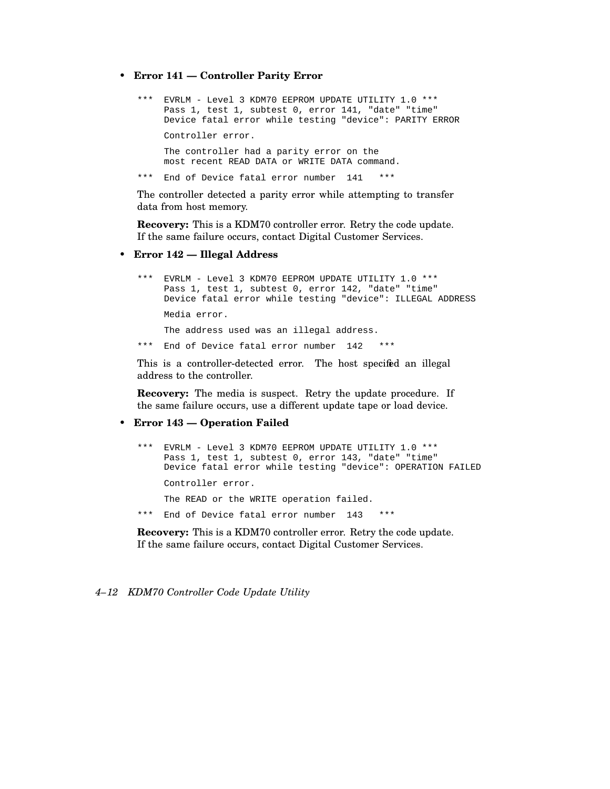• **Error 141 — Controller Parity Error**

```
EVRLM - Level 3 KDM70 EEPROM UPDATE UTILITY 1.0 ***
Pass 1, test 1, subtest 0, error 141, "date" "time"
Device fatal error while testing "device": PARITY ERROR
Controller error.
The controller had a parity error on the
most recent READ DATA or WRITE DATA command.
End of Device fatal error number 141 ***
```
The controller detected a parity error while attempting to transfer data from host memory.

**Recovery:** This is a KDM70 controller error. Retry the code update. If the same failure occurs, contact Digital Customer Services.

• **Error 142 — Illegal Address**

```
*** EVRLM - Level 3 KDM70 EEPROM UPDATE UTILITY 1.0 ***
    Pass 1, test 1, subtest 0, error 142, "date" "time"
    Device fatal error while testing "device": ILLEGAL ADDRESS
    Media error.
    The address used was an illegal address.
*** End of Device fatal error number 142 ***
```
This is a controller-detected error. The host specified an illegal address to the controller.

**Recovery:** The media is suspect. Retry the update procedure. If the same failure occurs, use a different update tape or load device.

#### • **Error 143 — Operation Failed**

```
*** EVRLM - Level 3 KDM70 EEPROM UPDATE UTILITY 1.0 ***
    Pass 1, test 1, subtest 0, error 143, "date" "time"
    Device fatal error while testing "device": OPERATION FAILED
    Controller error.
    The READ or the WRITE operation failed.
*** End of Device fatal error number 143 ***
```
**Recovery:** This is a KDM70 controller error. Retry the code update. If the same failure occurs, contact Digital Customer Services.

#### *4–12 KDM70 Controller Code Update Utility*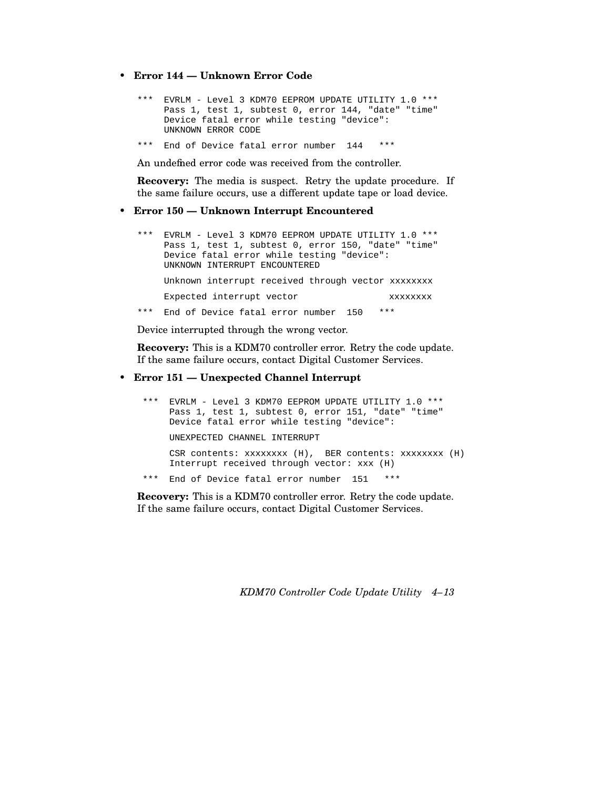- **Error 144 — Unknown Error Code**
	- \*\*\* EVRLM Level 3 KDM70 EEPROM UPDATE UTILITY 1.0 \*\*\* Pass 1, test 1, subtest 0, error 144, "date" "time" Device fatal error while testing "device": UNKNOWN ERROR CODE
	- \*\*\* End of Device fatal error number 144 \*\*\*

An undefined error code was received from the controller.

**Recovery:** The media is suspect. Retry the update procedure. If the same failure occurs, use a different update tape or load device.

#### • **Error 150 — Unknown Interrupt Encountered**

\*\*\* EVRLM - Level 3 KDM70 EEPROM UPDATE UTILITY 1.0 \*\*\* Pass 1, test 1, subtest 0, error 150, "date" "time" Device fatal error while testing "device": UNKNOWN INTERRUPT ENCOUNTERED Unknown interrupt received through vector xxxxxxxx Expected interrupt vector xxxxxxxx \*\*\* End of Device fatal error number 150 \*\*\*

Device interrupted through the wrong vector.

**Recovery:** This is a KDM70 controller error. Retry the code update. If the same failure occurs, contact Digital Customer Services.

### • **Error 151 — Unexpected Channel Interrupt**

\*\*\* EVRLM - Level 3 KDM70 EEPROM UPDATE UTILITY 1.0 \*\*\* Pass 1, test 1, subtest 0, error 151, "date" "time" Device fatal error while testing "device": UNEXPECTED CHANNEL INTERRUPT CSR contents: xxxxxxxx (H), BER contents: xxxxxxxx (H) Interrupt received through vector: xxx (H) \*\*\* End of Device fatal error number 151 \*\*\*

**Recovery:** This is a KDM70 controller error. Retry the code update. If the same failure occurs, contact Digital Customer Services.

*KDM70 Controller Code Update Utility 4–13*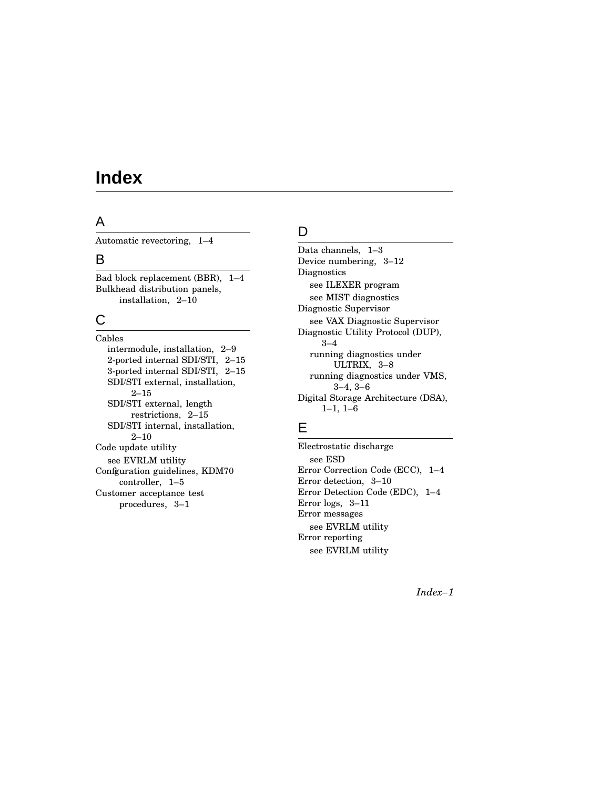# **Index**

## A

Automatic revectoring, 1–4

### B

Bad block replacement (BBR), 1–4 Bulkhead distribution panels, installation, 2–10

# C

Cables intermodule, installation, 2–9 2-ported internal SDI/STI, 2–15 3-ported internal SDI/STI, 2–15 SDI/STI external, installation, 2–15 SDI/STI external, length restrictions, 2–15 SDI/STI internal, installation, 2–10 Code update utility see EVRLM utility Confguration guidelines, KDM70 controller, 1–5 Customer acceptance test procedures, 3–1

## D

Data channels, 1–3 Device numbering, 3–12 **Diagnostics** see ILEXER program see MIST diagnostics Diagnostic Supervisor see VAX Diagnostic Supervisor Diagnostic Utility Protocol (DUP), 3–4 running diagnostics under ULTRIX, 3–8 running diagnostics under VMS, 3–4, 3–6 Digital Storage Architecture (DSA), 1–1, 1–6

# E

Electrostatic discharge see ESD Error Correction Code (ECC), 1–4 Error detection, 3–10 Error Detection Code (EDC), 1–4 Error logs, 3–11 Error messages see EVRLM utility Error reporting see EVRLM utility

*Index–1*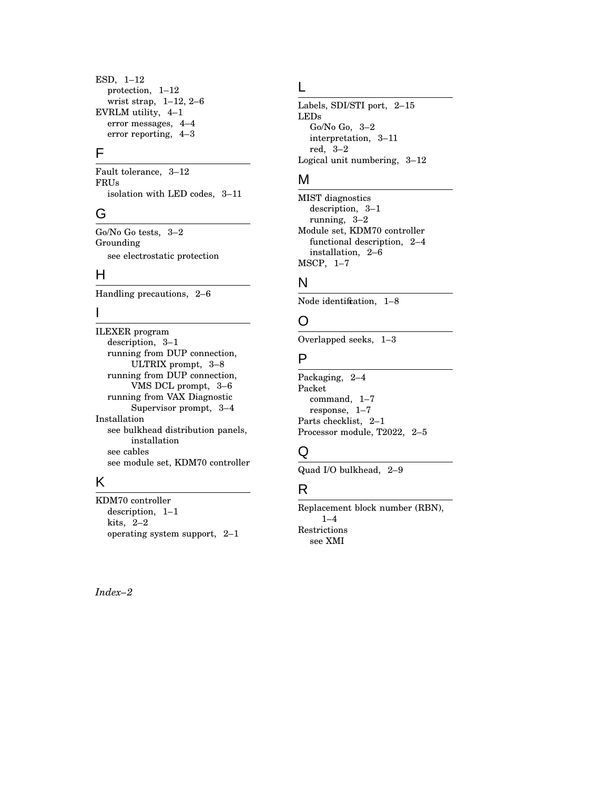ESD, 1–12 protection, 1–12 wrist strap, 1–12, 2–6 EVRLM utility, 4–1 error messages, 4–4 error reporting, 4–3

## F

Fault tolerance, 3–12 FRUs isolation with LED codes, 3–11

## G

Go/No Go tests, 3–2 Grounding see electrostatic protection

## H

Handling precautions, 2–6

### I

ILEXER program description, 3–1 running from DUP connection, ULTRIX prompt, 3–8 running from DUP connection, VMS DCL prompt, 3–6 running from VAX Diagnostic Supervisor prompt, 3–4 Installation see bulkhead distribution panels, installation see cables see module set, KDM70 controller

## K

KDM70 controller description, 1–1 kits, 2–2 operating system support, 2–1

### *Index–2*

### L

Labels, SDI/STI port, 2–15 LEDs Go/No Go, 3–2 interpretation, 3–11 red, 3–2 Logical unit numbering, 3–12

## M

MIST diagnostics description, 3–1 running, 3–2 Module set, KDM70 controller functional description, 2–4 installation, 2–6 MSCP, 1–7

## N

Node identification,  $1-8$ 

## O

Overlapped seeks, 1–3

### P

Packaging, 2–4 Packet command, 1–7 response, 1–7 Parts checklist, 2–1 Processor module, T2022, 2–5

## Q

Quad I/O bulkhead, 2–9

## R

Replacement block number (RBN),  $1 - 4$ Restrictions see XMI